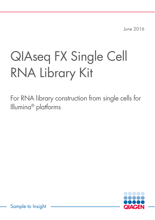June 2016

# QIAseq FX Single Cell RNA Library Kit

For RNA library construction from single cells for Illumina® platforms



Sample to Insight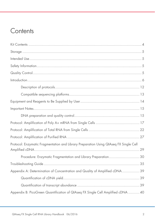## **Contents**

| Protocol: Enzymatic Fragmentation and Library Preparation Using QIAseq FX Single Cell |
|---------------------------------------------------------------------------------------|
|                                                                                       |
| Procedure: Enzymatic Fragmentation and Library Preparation 30                         |
|                                                                                       |
| Appendix A: Determination of Concentration and Quality of Amplified cDNA39            |
|                                                                                       |
|                                                                                       |
| Appendix B: PicoGreen Quantification of QIAseq FX Single Cell Amplified cDNA  40      |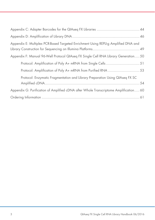| Appendix E: Multiplex PCR-Based Targeted Enrichment Using REPLI-g Amplified DNA and   |
|---------------------------------------------------------------------------------------|
| Appendix F: Manual 96-Well Protocol QIAseq FX Single Cell RNA Library Generation 50   |
|                                                                                       |
|                                                                                       |
| Protocol: Enzymatic Fragmentation and Library Preparation Using QIAseq FX SC          |
| Appendix G: Purification of Amplified cDNA after Whole Transcriptome Amplification 60 |
|                                                                                       |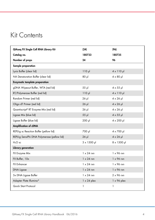## Kit Contents

| QIAseq FX Single Cell RNA Library Kit        | (24)                | (96)                |
|----------------------------------------------|---------------------|---------------------|
| Catalog no.                                  | 180733              | 180735              |
| Number of preps                              | 24                  | 96                  |
| Sample preparation                           |                     |                     |
| Lysis Buffer (clear lid)                     | $110$ $\mu$         | $4 \times 110$ µ    |
| NA Denaturation Buffer (clear lid)           | $1u$ 08             | $4 \times 80 \mu$   |
| <b>Enzymatic template preparation</b>        |                     |                     |
| gDNA Wipeout Buffer, WTA (red lid)           | 55 µl               | $4 \times 55$ µ     |
| RT/Polymerase Buffer (red lid)               | $110$ pl            | $4 \times 110$ µl   |
| Random Primer (red lid)                      | $26$ $\mu$          | $4 \times 26$ µ     |
| Oligo dT Primer (red lid)                    | $26$ $\mu$          | $4 \times 26$ pl    |
| Quantiscript® RT Enzyme Mix (red lid)        | $26$ $\mu$          | $4 \times 26$ µl    |
| Ligase Mix (blue lid)                        | 55 µl               | $4 \times 55$ µl    |
| Ligase Buffer (blue lid)                     | $200$ $\mu$         | $4 \times 200 \mu$  |
| <b>Amplification of cDNA</b>                 |                     |                     |
| REPLI-g sc Reaction Buffer (yellow lid)      | 700 µl              | 4 x 700 µl          |
| REPLI-g SensiPhi DNA Polymerase (yellow lid) | $26$ $\mu$          | $4 \times 26$ pl    |
| $H2O$ sc                                     | $3 \times 1500 \mu$ | $8 \times 1500 \mu$ |
| Library generation                           |                     |                     |
| FX Enzyme Mix                                | $1 \times 24$ rxn   | $1 \times 96$ rxn   |
| FX Buffer, 10x                               | $1 \times 24$ rxn   | $1 \times 96$ rxn   |
| <b>FX Enhancer</b>                           | $1 \times 24$ rxn   | $1 \times 96$ rxn   |
| <b>DNA Ligase</b>                            | $1 \times 24$ rxn   | $1 \times 96$ rxn   |
| 5x DNA Ligase Buffer                         | $1 \times 24$ rxn   | $2 \times 96$ rxn   |
| Adapter Plate Illumina*                      | $1 \times 24$ plex  | 1 x 96 plex         |
| Quick Start Protocol                         | 1                   | 1                   |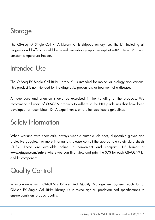### **Storage**

The QIAseq FX Single Cell RNA Library Kit is shipped on dry ice. The kit, including all reagents and buffers, should be stored immediately upon receipt at –30°C to –15°C in a constant-temperature freezer.

### Intended Use

The QIAseq FX Single Cell RNA Library Kit is intended for molecular biology applications. This product is not intended for the diagnosis, prevention, or treatment of a disease.

All due care and attention should be exercised in the handling of the products. We recommend all users of QIAGEN products to adhere to the NIH guidelines that have been developed for recombinant DNA experiments, or to other applicable guidelines.

## Safety Information

When working with chemicals, always wear a suitable lab coat, disposable gloves and protective goggles. For more information, please consult the appropriate safety data sheets (SDSs). These are available online in convenient and compact PDF format at www.qiagen.com/safety where you can find, view and print the SDS for each QIAGEN® kit and kit component.

## Quality Control

In accordance with QIAGEN's ISO-certified Quality Management System, each lot of QIAseq FX Single Cell RNA Library Kit is tested against predetermined specifications to ensure consistent product quality.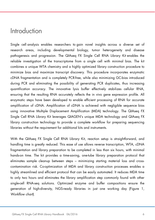### Introduction

Single cell analysis enables researchers to gain novel insights across a diverse set of research areas, including developmental biology, tumor heterogeneity and disease pathogenesis and progression. The QIAseq FX Single Cell RNA Library Kit enables the reliable investigation of the transcriptome from a single cell with minimal bias. The kit combines a unique WTA chemistry and a highly optimized library construction procedure to minimize bias and maximize transcript discovery. This procedure incorporates enzymatic cDNA fragmentation and is completely PCR-free, while also minimizing GC-bias introduced during PCR and eliminating the possibility of generating PCR duplicates, thus increasing quantification accuracy. The innovative lysis buffer effectively stabilizes cellular RNA, ensuring that the resulting RNA accurately reflects the in vivo gene expression profile. All enzymatic steps have been developed to enable efficient processing of RNA for accurate amplification of cDNA. Amplification of cDNA is achieved with negligible sequence bias using innovative Multiple Displacement Amplification (MDA) technology. The QIAseq FX Single Cell RNA Library Kit leverages QIAGEN's unique MDA technology and QIAseq FX library construction technology to provide a complete workflow for preparing sequencing libraries without the requirement for additional kits and instruments.

With the QIAseq FX Single Cell RNA Library Kit, reaction setup is straightforward, and handling time is greatly reduced. This ease of use allows reverse transcription, WTA, cDNA fragmentation and library preparation to be completed in less than six hours, with minimal hands-on time. The kit provides a time-saving, one-tube library preparation protocol that eliminates sample cleanup between steps – minimizing starting material loss and crosscontamination risk. Co-optimization of MDA and library construction processes enables a highly streamlined and efficient protocol that can be easily automated. It reduces MDA time to only two hours and eliminates the library amplification step commonly found with other single-cell RNA-seq solutions. Optimized enzyme and buffer compositions ensure the generation of high-diversity, NGS-ready libraries in just one working day (Figure 1, Workflow chart.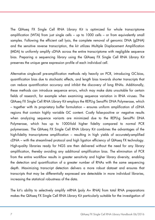The QIAseq FX Single Cell RNA Library Kit is optimized for whole transcriptome amplification (WTA) from just single cells – up to 1000 cells – or from equivalently small samples. Following the efficient cell lysis, the complete removal of genomic DNA (gDNA) and the sensitive reverse transcription, the kit utilizes Multiple Displacement Amplification (MDA) to uniformly amplify cDNA across the entire transcriptome with negligible sequence bias. Preparing a sequencing library using the QIAseq FX Single Cell RNA Library Kit preserves the unique gene expression profile of each individual cell.

Alternative single-cell pre-amplification methods rely heavily on PCR, introducing GC-bias, quantification bias due to stochastic effects, and length bias towards shorter transcripts that can reduce quantification accuracy and inhibit the discovery of long RNAs. Additionally, these methods can introduce sequence errors, which may make data unsuitable for certain fields of research, for example when examining sequence variation in RNA viruses. The QIAseq FX Single Cell RNA Library Kit employs the REPLI-g SensiPhi DNA Polymerase, which – together with its proprietary buffer formulation – ensures uniform amplification of cDNA regions that contain highly variable GC content. Costly false-positive or -negative results when analyzing sequence variants are minimized due to the REPLI-g SensiPhi DNA Polymerase, which has up to 1000-fold higher fidelity compared to normal PCR polymerases. The QIAseq FX Single Cell RNA Library Kit combines the advantages of the high-fidelity transcriptome amplification – resulting in high yields of accurately-amplified cDNA – with the streamlined protocol and high ligation efficiency of QIAseq FX technology. High-quality libraries ready for NGS are then delivered without the need for any library amplification, thereby avoiding any additional amplification bias. The elimination of PCR from the entire workflow results in greater sensitivity and higher library diversity, enabling the detection and quantification of a greater number of RNAs with the same sequencing depth. Maximizing transcript detection delivers a more robust dataset and ensures that transcripts that may be differentially expressed are detectable in more individual libraries, increasing the statistical robustness of the data.

The kit's ability to selectively amplify mRNA (poly A+ RNA) from total RNA preparations makes the QIAseq FX Single Cell RNA Library Kit particularly suitable for the investigation of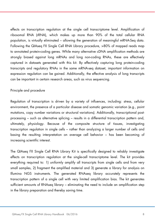effects on transcription regulation at the single cell transcriptome level. Amplification of ribosomal RNA (rRNA), which makes up more than 90% of the total cellular RNA population, is virtually eliminated – allowing the generation of meaningful mRNA-Seq data. Following the QIAseq FX Single Cell RNA Library procedure, >80% of mapped reads map to annotated protein-coding genes. While many alternative cDNA amplification methods are strongly biased against long mRNAs and long non-coding RNAs, these are effectively captured in datasets generated with this kit. By effectively capturing long protein-coding transcripts and regulatory RNAs in the same mRNA-seq dataset, important information on expression regulation can be gained. Additionally, the effective analysis of long transcripts can be important in certain research areas, such as virus sequencing.

#### Principle and procedure

Regulation of transcription is driven by a variety of influences, including: stress, cellular environment, the presence of a particular disease and somatic genomic variation (e.g., point mutations, copy number variations or structural variations). Additionally, transcriptional postprocessing – such as alternative splicing – results in a differential transcription pattern and, ultimately, physiology. Because of the composite structure of tissues, investigating transcription regulation in single cells – rather than analyzing a larger number of cells and basing the resulting interpretation on average cell behavior – has been becoming of increasing scientific interest.

The QIAseq FX Single Cell RNA Library Kit is specifically designed to reliably investigate effects on transcription regulation at the single-cell transcriptome level. The kit provides everything required to: 1) uniformly amplify all transcripts from single cells and from very small samples, 2) fragment the amplified material and 3) generate a library for analysis on Illumina NGS instruments. The generated RNAseq library accurately represents the transcription pattern of a single cell with very limited amplification bias. The kit generates sufficient amounts of RNAseq library – eliminating the need to include an amplification step in the library preparation and thereby saving time.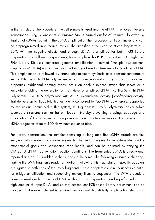In the first step of the procedure, the cell sample is lysed and the gDNA is removed. Reverse transcription using Quantiscript RT Enzyme Mix is carried out for 60 minutes, followed by ligation of cDNAs (30 min). The cDNA amplification then proceeds for 120 minutes and can be preprogrammed in a thermal cycler. The amplified cDNA can be stored long-term at – 20°C with no negative effects, and enough cDNA is amplified for both NGS library preparation and follow-up experiments, for example with qPCR. The QIAseq FX Single Cell RNA Library Kit uses isothermal genome amplification – termed "multiple displacement amplification" (MDA) – which involves the binding of random hexamers to denatured cDNA. This amplification is followed by strand displacement synthesis at a constant temperature with REPLI-g SensiPhi DNA Polymerase, which has exceptionally strong strand displacement properties. Additional priming events occur on each displaced strand that serves as a template, enabling the generation of high yields of amplified cDNA. REPLI-g SensiPhi DNA Polymerase is a DNA polymerase with 3'→5' exonuclease activity (proofreading activity) that delivers up to 1000-fold higher fidelity compared to Taq DNA polymerase. Supported by the unique, optimized buffer system, REPLI-g SensiPhi DNA Polymerase easily solves secondary structures such as hairpin loops – thereby preventing slipping, stoppage and dissociation of the polymerase during amplification. This feature enables the generation of cDNA fragments of up to 100 kb without sequence bias.

For library construction, the samples consisting of long amplified cDNA strands are first enzymatically sheared into smaller fragments. The median fragment size is dependent on the experimental goals and sequencing read length, and can be adjusted by varying the QIAseq FX cDNA fragmentation reaction conditions. The fragmented cDNA is directly endrepaired and an 'A' is added to the 3' ends in the same tube following enzymatic shearing, making the DNA fragments ready for ligation. Following this step, platform-specific adapters are ligated to both ends of the DNA fragments. These adapters contain sequences essential for bridge amplification and sequencing on any Illumina sequencer. The WTA procedure normally results in high yields of DNA so that library preparation can be performed with a high amount of input DNA, and so that subsequent PCR-based library enrichment can be avoided. If library enrichment is required, an optional, high-fidelity amplification step using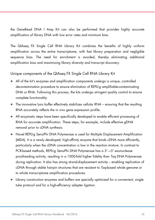the GeneRead DNA I Amp Kit can also be performed that provides highly accurate amplification of library DNA with low error rates and minimum bias.

The QIAseq FX Single Cell RNA Library Kit combines the benefits of highly uniform amplification across the entire transcriptome, with fast library preparation and negligible sequence bias. The need for enrichment is avoided, thereby eliminating additional amplification bias and maximizing library diversity and transcript discovery.

Unique components of the QIAseq FX Single Cell RNA Library Kit

- All of the kit's enzymes and amplification components undergo a unique, controlled decontamination procedure to ensure elimination of REPLI-g amplifiable-contaminating DNA or RNA. Following this process, the kits undergo stringent quality control to ensure complete functionality.
- The innovative lysis buffer effectively stabilizes cellular RNA ensuring that the resulting RNA accurately reflects the in vivo gene expression profile.
- All enzymatic steps have been specifically developed to enable efficient processing of RNA for accurate amplification. These steps, for example, include effective gDNA removal prior to cDNA synthesis.
- Novel REPLI-g SensiPhi DNA Polymerase is used for Multiple Displacement Amplification (MDA). It is a newly developed, high-affinity enzyme that binds cDNA more efficiently, particularly when the cDNA concentration is low in the reaction mixture. In contrast to PCR-based methods, REPLI-g SensiPhi DNA Polymerase has a 3'→5' exonuclease proofreading activity, resulting in a 1000-fold higher fidelity than Taq DNA Polymerase during replication. It also has strong strand-displacement activity – enabling replication of cDNA through stable hairpin structures that are resistant to Taq-based whole genome or to whole transcriptome amplification procedures.
- Library construction enzymes and buffers are specially optimized for a convenient, singletube protocol and for a high-efficiency adapter ligation.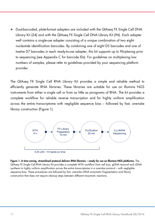● Dual-barcoded, plate-format adapters are included with the QIAseq FX Single Cell DNA Library Kit (24) and with the QIAseq FX Single Cell DNA Library Kit (96). Each adapter well contains a single-use adapter consisting of a unique combination of two eightnucleotide identification barcodes. By combining one of eight D5 barcodes and one of twelve D7 barcodes in each ready-to-use adapter, this kit supports up to 96-plexing prior to sequencing (see Appendix C for barcode IDs). For guidelines on multiplexing low numbers of samples, please refer to guidelines provided by your sequencing platform provider.

The QIAseq FX Single Cell RNA Library Kit provides a simple and reliable method to efficiently generate RNA libraries. These libraries are suitable for use on Illumina NGS instruments from either a single cell or from as little as picograms of RNA. The kit provides a complete workflow for reliable reverse transcription and for highly uniform amplification across the entire transcriptome with negligible sequence bias – followed by fast, one-tube library construction (Figure 1).



Figure 1. A time-saving, streamlined protocol delivers RNA libraries – ready for use on Illumina NGS platforms. The QIAseq FX Single Cell RNA Library Kit provides a complete WTA workflow from cell lysis, gDNA removal and cDNA synthesis to highly uniform amplification across the entire transcriptome in a one-tube protocol – with negligible sequence bias. These procedures are followed by fast, one-tube cDNA enzymatic fragmentation and library construction that does not require cleanup steps between different enzymatic reactions.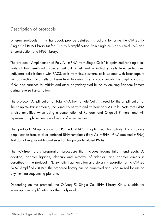### Description of protocols

Different protocols in this handbook provide detailed instructions for using the QIAseq FX Single Cell RNA Library Kit for: 1) cDNA amplification from single cells or purified RNA and 2) construction of a NGS library.

The protocol "Amplification of Poly A+ mRNA from Single Cells" is optimized for single cell material from eukaryotic species without a cell wall – including cells from vertebrates, individual cells isolated with FACS, cells from tissue culture, cells isolated with laser-capture microdissection, and cells or tissue from biopsies. The protocol avoids the amplification of rRNA and enriches for mRNA and other polyadenylated RNAs by omitting Random Primers during reverse transcription.

The protocol "Amplification of Total RNA from Single Cells" is used for the amplification of the complete transcriptome, including RNAs with and without poly A+ tails. Note that rRNA is also amplified when using a combination of Random and Oligo-dT Primers, and will represent a high percentage of reads after sequencing.

The protocol "Amplification of Purified RNA" is optimized for whole transcriptome amplification from total or enriched RNA templates (Poly A+ mRNA, rRNA-depleted mRNA) that do not require additional selection for poly-adenylated RNAs.

The PCR-free library preparation procedure that includes fragmentation, end-repair, Aaddition, adapter ligation, cleanup and removal of adapters and adapter dimers is described in the protocol "Enzymatic fragmentation and Library Preparation using QIAseq FX SC Amplified cDNA." The prepared library can be quantified and is optimized for use on any Illumina sequencing platform.

Depending on the protocol, the QIAseq FX Single Cell RNA Library Kit is suitable for transcriptome amplification for the analysis of: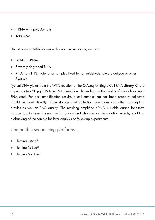- mRNA with poly A+ tails
- Total RNA

The kit is not suitable for use with small nucleic acids, such as:

- tRNAs, miRNAs
- Severely degraded RNA
- RNA from FFPE material or samples fixed by formaldehyde, glutaraldehyde or other fixatives.

Typical DNA yields from the WTA reaction of the QIAseq FX Single Cell RNA Library Kit are approximately 20 μg cDNA per 60 μl reaction, depending on the quality of the cells or input RNA used. For best amplification results, a cell sample that has been properly collected should be used directly, since storage and collection conditions can alter transcription profiles as well as RNA quality. The resulting amplified cDNA is stable during long-term storage (up to several years) with no structural changes or degradation effects, enabling biobanking of the sample for later analysis or follow-up experiments.

### Compatible sequencing platforms

- Illumina HiSeq®
- Illumina MiSeq®
- Illumina NextSeq<sup>®</sup>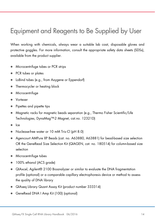## Equipment and Reagents to Be Supplied by User

When working with chemicals, always wear a suitable lab coat, disposable gloves and protective goggles. For more information, consult the appropriate safety data sheets (SDSs), available from the product supplier.

- Microcentrifuge tubes or PCR strips
- PCR tubes or plates
- LoBind tubes (e.g., from Axygene or Eppendorf)
- Thermocycler or heating block
- Microcentrifuge
- Vortexer
- Pipettes and pipette tips
- Magnetic racks for magnetic beads separation (e.g., Thermo Fisher Scientific/Life Technologies, DynaMag™-2 Magnet, cat.no. 12321D)
- $\bullet$  Ice
- Nuclease-free water or 10 mM Tris-Cl (pH 8.0)
- Agencourt AMPure XP Beads (cat. no. A63880, A63881) for bead-based size selection OR the GeneRead Size Selection Kit (QIAGEN, cat. no. 180514) for column-based size selection
- Microcentrifuge tubes
- 100% ethanol (ACS grade)
- QIAxcel, Agilent® 2100 Bioanalyzer or similar to evaluate the DNA fragmentation profile (optional) or a comparable capillary electrophoresis device or method to assess the quality of DNA library
- QIAseq Library Quant Assay Kit (product number 333314)
- GeneRead DNA I Amp Kit (100) (optional)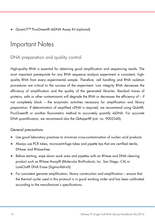Quant-iT™ PicoGreen® dsDNA Assay Kit (optional)

### Important Notes

### DNA preparation and quality control

High-quality RNA is essential for obtaining good amplification and sequencing results. The most important prerequisite for any RNA sequence analysis experiment is consistent, highquality RNA from every experimental sample. Therefore, cell handling and RNA isolation procedures are critical to the success of the experiment. Low integrity RNA decreases the efficiency of amplification and the quality of the generated libraries. Residual traces of proteins, salts or other contaminants will degrade the RNA or decreases the efficiency of – if not completely block – the enzymatic activities necessary for amplification and library preparation. If determination of amplified cDNA is required, we recommend using Qubit®, PicoGreen® or another fluorometric method to accurately quantify dsDNA. For accurate DNA quantification, we recommend also the QIAxpert® (cat. no. 9002340).

#### General precautions

- Use good laboratory practices to minimize cross-contamination of nucleic acid products.
- Always use PCR tubes, microcentrifuge tubes and pipette tips that are certified sterile, DNase- and RNase-free.
- Before starting, wipe down work area and pipettes with an RNase and DNA cleaning product such as RNase Away® (Molecular BioProducts, Inc. San Diego, CA) or LookOut® DNA Erase (Sigma-Aldrich).
- For consistent genome amplification, library construction and amplification ensure that the thermal cycler used in this protocol is in good working order and has been calibrated according to the manufacturer's specifications.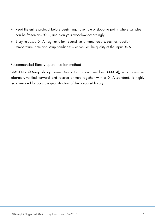- Read the entire protocol before beginning. Take note of stopping points where samples can be frozen at –20°C, and plan your workflow accordingly.
- Enzyme-based DNA fragmentation is sensitive to many factors, such as reaction temperature, time and setup conditions – as well as the quality of the input DNA.

#### Recommended library quantification method

QIAGEN's QIAseq Library Quant Assay Kit (product number 333314), which contains laboratory-verified forward and reverse primers together with a DNA standard, is highly recommended for accurate quantification of the prepared library.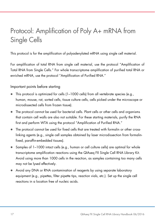## Protocol: Amplification of Poly A+ mRNA from Single Cells

This protocol is for the amplification of polyadenylated mRNA using single cell material.

For amplification of total RNA from single cell material, use the protocol "Amplification of Total RNA from Single Cells." For whole transcriptome amplification of purified total RNA or enriched mRNA, use the protocol "Amplification of Purified RNA."

### Important points before starting

- $\bullet$  This protocol is optimized for cells (1-1000 cells) from all vertebrate species (e.g., human, mouse, rat, sorted cells, tissue culture cells, cells picked under the microscope or microdissected cells from frozen tissue).
- The protocol cannot be used for bacterial cells. Plant cells or other cells and organisms that contain cell walls are also not suitable. For these starting materials, purify the RNA first and perform WTA using the protocol "Amplification of Purified RNA."
- The protocol cannot be used for fixed cells that are treated with formalin or other crosslinking agents (e.g., single cell samples obtained by laser microdissection from formalinfixed, paraffin-embedded tissues).
- Samples of 1–1000 intact cells (e.g., human or cell culture cells) are optimal for whole transcriptome amplification reactions using the QIAseq FX Single Cell RNA Library Kit. Avoid using more than 1000 cells in the reaction, as samples containing too many cells may not be lysed effectively.
- Avoid any DNA or RNA contamination of reagents by using separate laboratory equipment (e.g., pipettes, filter pipette tips, reaction vials, etc.). Set up the single cell reactions in a location free of nucleic acids.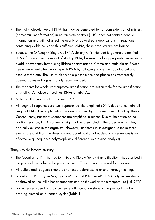- The high-molecular-weight DNA that may be generated by random extension of primers (primer-multimer formation) in no template controls (NTC) does not contain genetic information and will not affect the quality of downstream applications. In reactions containing viable cells and thus sufficient cDNA, these products are not formed.
- Because the QIAseq FX Single Cell RNA Library Kit is intended to generate amplified cDNA from a minimal amount of starting RNA, be sure to take appropriate measures to avoid inadvertently introducing RNase contamination. Create and maintain an RNasefree environment when working with RNA by following proper microbiological and aseptic technique. The use of disposable plastic tubes and pipette tips from freshly opened boxes or bags is strongly recommended.
- The reagents for whole transcriptome amplification are not suitable for the amplification of small RNA molecules, such as tRNAs or miRNAs.
- Note that the final reaction volume is 59 μl.
- Although all sequences are well represented, the amplified cDNA does not contain fulllength cDNAs. The amplification process is started by random-primed cDNA synthesis. Consequently, transcript sequences are amplified in pieces. Due to the nature of the ligation reaction, DNA fragments might not be assembled in the order in which they originally existed in the organism. However, kit chemistry is designed to make these events rare and thus, the detection and quantification of nucleic acid sequences is not affected (e.g., sequence polymorphisms, differential expression analysis).

#### Things to do before starting

- The Quantiscript RT mix, ligation mix and REPLI-g SensiPhi amplification mix described in the protocol must always be prepared fresh. They cannot be stored for later use.
- All buffers and reagents should be vortexed before use to ensure thorough mixing.
- Quantiscript RT Enzyme Mix, Ligase Mix and REPLI-g SensiPhi DNA Polymerase should be thawed on ice. All other components can be thawed at room temperature (15–25°C).
- For increased speed and convenience, all incubation steps of the protocol can be preprogrammed on a thermal cycler (Table 1).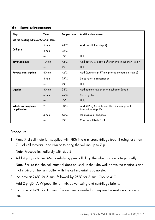| <b>Step</b>                               | Time            | <b>Temperature</b> | <b>Additional comments</b>                                              |
|-------------------------------------------|-----------------|--------------------|-------------------------------------------------------------------------|
| Set the heating lid to 50°C for all steps |                 |                    |                                                                         |
|                                           | $5 \text{ min}$ | $24^{\circ}$ C     | Add Lysis Buffer (step 2)                                               |
| <b>Cell lysis</b>                         | 3 min           | $95^{\circ}$ C     |                                                                         |
|                                           | $\infty$        | 4°C                | Hold                                                                    |
| gDNA removal                              | $10$ min        | $42^{\circ}$ C     | Add gDNA Wipeout Buffer prior to incubation (step 4)                    |
|                                           | $\infty$        | $4^{\circ}$ C      | Hold                                                                    |
| <b>Reverse transcription</b>              | 60 min          | $42^{\circ}$ C     | Add Quantiscript RT mix prior to incubation (step 6)                    |
|                                           | 3 min           | $95^{\circ}$ C     | Stops reverse transcription                                             |
|                                           | $\infty$        | $4^{\circ}$ C      | Hold                                                                    |
| Ligation                                  | $30$ min        | $24^{\circ}$ C     | Add ligation mix prior to incubation (step 8)                           |
|                                           | $5 \text{ min}$ | 95°C               | Stops ligation                                                          |
|                                           | $\infty$        | $4^{\circ}$ C      | Hold                                                                    |
| Whole transcriptome<br>amplification      | 2 <sub>h</sub>  | $30^{\circ}$ C     | Add REPLI-g SensiPhi amplification mix prior to<br>incubation (step 10) |
|                                           | $5 \text{ min}$ | $65^{\circ}$ C     | Inactivates all enzymes                                                 |
|                                           | $\infty$        | $4^{\circ}$ C      | Cools amplified cDNA                                                    |

#### Table 1. Thermal cycling parameters

#### Procedure

- 1. Place 7 μl cell material (supplied with PBS) into a microcentrifuge tube. If using less than 7 μl of cell material, add H20 sc to bring the volume up to 7 μl. Note: Proceed immediately with step 2.
- 2. Add 4 μl Lysis Buffer. Mix carefully by gently flicking the tube, and centrifuge briefly. Note: Ensure that the cell material does not stick to the tube wall above the meniscus and that mixing of the lysis buffer with the cell material is complete.
- 3. Incubate at 24°C for 5 min, followed by 95°C for 3 min. Cool to 4°C.
- 4. Add 2 μl gDNA Wipeout Buffer, mix by vortexing and centrifuge briefly.
- 5. Incubate at 42°C for 10 min. If more time is needed to prepare the next step, place on ice.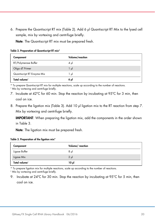6. Prepare the Quantiscript RT mix (Table 2). Add 6 μl Quantiscript RT Mix to the lysed cell sample, mix by vortexing and centrifuge briefly.

Note: The Quantiscript RT mix must be prepared fresh.

Table 2. Preparation of Quantiscript RT mix\*

| Component                  | Volume/reaction |
|----------------------------|-----------------|
| RT/Polymerase Buffer       | $4 \mu$         |
| Oligo dT Primer            | 1 µl            |
| Quantiscript RT Enzyme Mix | اں 1            |
| Total volume <sup>t</sup>  | 6 pl            |

\* To prepare Quantiscript RT mix for multiple reactions, scale up according to the number of reactions.

† Mix by vortexing and centrifuge briefly.

- 7. Incubate at 42ºC for 60 min. Stop the reaction by incubating at 95ºC for 3 min, then cool on ice.
- 8. Prepare the ligation mix (Table 3). Add 10 μl ligation mix to the RT reaction from step 7. Mix by vortexing and centrifuge briefly.

IMPORTANT: When preparing the ligation mix, add the components in the order shown in Table 3.

Note: The ligation mix must be prepared fresh.

|  | Table 3. Preparation of the ligation mix* |  |  |  |
|--|-------------------------------------------|--|--|--|
|--|-------------------------------------------|--|--|--|

| Component                 | Volume/reaction |
|---------------------------|-----------------|
| Ligase Buffer             | 8 <sub>µ</sub>  |
| Ligase Mix                | $2 \mu$         |
| Total volume <sup>t</sup> | ار 10           |

\* To prepare ligation mix for multiple reactions, scale up according to the number of reactions. † Mix by vortexing and centrifuge briefly.

9. Incubate at 24°C for 30 min. Stop the reaction by incubating at 95°C for 5 min, then cool on ice.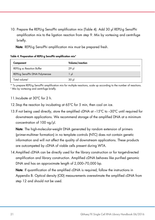10. Prepare the REPLI-g SensiPhi amplification mix (Table 4). Add 30 μl REPLI-g SensiPhi amplification mix to the ligation reaction from step 9. Mix by vortexing and centrifuge briefly.

Note: REPLI-g SensiPhi amplification mix must be prepared fresh.

Table 4. Preparation of REPLI-g SensiPhi amplification mix\*

| Component                       | Volume/reaction |
|---------------------------------|-----------------|
| REPLI-g sc Reaction Buffer      | 29 µl           |
| REPLI-g SensiPhi DNA Polymerase | - ul            |
| Total volume <sup>t</sup>       | 30 <sub>µ</sub> |

\* To prepare REPLI-g SensiPhi amplification mix for multiple reactions, scale up according to the number of reactions. † Mix by vortexing and centrifuge briefly.

- 11.Incubate at 30ºC for 2 h.
- 12. Stop the reaction by incubating at 65°C for 5 min, then cool on ice.
- 13.If not being used directly, store the amplified cDNA at –15ºC to –30ºC until required for downstream applications. We recommend storage of the amplified DNA at a minimum concentration of 100 ng/μl.

Note: The high-molecular-weight DNA generated by random extension of primers (primer-multimer formation) in no template controls (NTC) does not contain genetic information and will not affect the quality of downstream applications. These products are outcompeted by cDNA of viable cells present during WTA.

14.Amplified cDNA can be directly used for the library construction or for target-directed amplification and library construction. Amplified cDNA behaves like purified genomic DNA and has an approximate length of 2,000–70,000 bp.

Note: If quantification of the amplified cDNA is required, follow the instructions in Appendix B. Optical density (OD) measurements overestimate the amplified cDNA from step 12 and should not be used.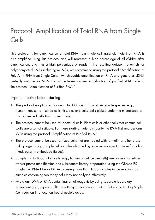## Protocol: Amplification of Total RNA from Single Cells

This protocol is for amplification of total RNA from single cell material. Note that rRNA is also amplified using this protocol and will represent a high percentage of all cDNAs after amplification, and thus a high percentage of reads in the resulting dataset. To enrich for polyadenylated RNAs including mRNAs, we recommend using the protocol "Amplification of Poly A+ mRNA from Single Cells," which avoids amplification of rRNA and generates cDNA perfectly suitable for NGS. For whole transcriptome amplification of purified RNA, refer to the protocol "Amplification of Purified RNA."

#### Important points before starting

- $\bullet$  This protocol is optimized for cells (1-1000 cells) from all vertebrate species (e.g., human, mouse, rat, sorted cells, tissue culture cells, cells picked under the microscope or microdissected cells from frozen tissue).
- The protocol cannot be used for bacterial cells. Plant cells or other cells that contain cell walls are also not suitable. For these starting materials, purify the RNA first and perform WTA using the protocol "Amplification of Purified RNA."
- The protocol cannot be used for fixed cells that are treated with formalin or other crosslinking agents (e.g., single cell samples obtained by laser microdissection from formalinfixed, paraffin-embedded tissues).
- $\bullet$  Samples of 1–1000 intact cells (e.g., human or cell culture cells) are optimal for whole transcriptome amplification and subsequent library preparation using the QIAseq FX Single Cell RNA Library Kit. Avoid using more than 1000 samples in the reaction, as samples containing too many cells may not be lysed effectively.
- Avoid any DNA or RNA contamination of reagents by using separate laboratory equipment (e.g., pipettes, filter pipette tips, reaction vials, etc.). Set up the REPLI-g Single Cell reaction in a location free of nucleic acids.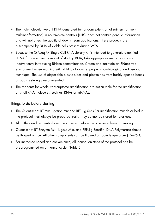- The high-molecular-weight DNA generated by random extension of primers (primermultimer formation) in no template controls (NTC) does not contain genetic information and will not affect the quality of downstream applications. These products are outcompeted by DNA of viable cells present during WTA.
- Because the QIAseq FX Single Cell RNA Library Kit is intended to generate amplified cDNA from a minimal amount of starting RNA, take appropriate measures to avoid inadvertently introducing RNase contamination. Create and maintain an RNase-free environment when working with RNA by following proper microbiological and aseptic technique. The use of disposable plastic tubes and pipette tips from freshly opened boxes or bags is strongly recommended.
- The reagents for whole transcriptome amplification are not suitable for the amplification of small RNA molecules, such as tRNAs or miRNAs.

Things to do before starting

- The Quantiscript RT mix, ligation mix and REPLI-g SensiPhi amplification mix described in the protocol must always be prepared fresh. They cannot be stored for later use.
- All buffers and reagents should be vortexed before use to ensure thorough mixing.
- Quantiscript RT Enzyme Mix, Ligase Mix, and REPLI-g SensiPhi DNA Polymerase should be thawed on ice. All other components can be thawed at room temperature (15–25°C).
- For increased speed and convenience, all incubation steps of the protocol can be preprogrammed on a thermal cycler (Table 5).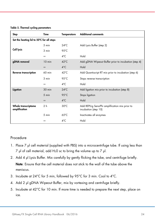| <b>Step</b>                               | Time            | <b>Temperature</b> | <b>Additional comments</b>                                              |
|-------------------------------------------|-----------------|--------------------|-------------------------------------------------------------------------|
| Set the heating lid to 50°C for all steps |                 |                    |                                                                         |
|                                           | 5 min           | $24^{\circ}$ C     | Add Lysis Buffer (step 2)                                               |
| Cell lysis                                | 3 min           | 95°C               |                                                                         |
|                                           | $\infty$        | $4^{\circ}$ C      | Hold                                                                    |
| gDNA removal                              | $10$ min        | $42^{\circ}$ C     | Add gDNA Wipeout Buffer prior to incubation (step 4)                    |
|                                           | $\infty$        | $4^{\circ}$ C      | Hold                                                                    |
| <b>Reverse transcription</b>              | 60 min          | $42^{\circ}$ C     | Add Quantiscript RT mix prior to incubation (step 6)                    |
|                                           | 3 min           | $95^{\circ}$ C     | Stops reverse transcription                                             |
|                                           | $\infty$        | $4^{\circ}$ C      | Hold                                                                    |
| Ligation                                  | $30$ min        | $24^{\circ}$ C     | Add ligation mix prior to incubation (step 8)                           |
|                                           | $5 \text{ min}$ | $95^{\circ}$ C     | Stops ligation                                                          |
|                                           | $\infty$        | $4^{\circ}$ C      | Hold                                                                    |
| Whole transcriptome<br>amplification      | 2 <sub>h</sub>  | $30^{\circ}$ C     | Add REPLI-g SensiPhi amplification mix prior to<br>incubation (step 10) |
|                                           | 5 min           | $65^{\circ}$ C     | Inactivates all enzymes                                                 |
|                                           | $\infty$        | $4^{\circ}$ C      | Hold                                                                    |

Table 5. Thermal cycling parameters

#### Procedure

- 1. Place 7 μl cell material (supplied with PBS) into a microcentrifuge tube. If using less than  $7$  μl of cell material, add H<sub>2</sub>O sc to bring the volume up to  $7$  μl.
- 2. Add 4 μl Lysis Buffer. Mix carefully by gently flicking the tube, and centrifuge briefly. Note: Ensure that the cell material does not stick to the wall of the tube above the meniscus.
- 3. Incubate at 24°C for 5 min, followed by 95°C for 3 min. Cool to 4°C.
- 4. Add 2 μl gDNA Wipeout Buffer, mix by vortexing and centrifuge briefly.
- 5. Incubate at 42°C for 10 min. If more time is needed to prepare the next step, place on ice.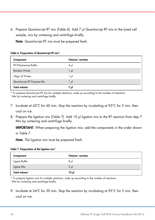6. Prepare Quantiscript RT mix (Table 6). Add 7 μl Quantiscript RT mix to the lysed cell sample, mix by vortexing and centrifuge briefly.

Note: Quantiscript RT mix must be prepared fresh.

| Component                  | Volume/reaction |
|----------------------------|-----------------|
| RT/Polymerase Buffer       | $4 \mu$         |
| Random Primer              | $1 \mu$         |
| Oligo dT Primer            | 1 μΙ            |
| Quantiscript RT Enzyme Mix | 1 μl            |
| Total volume <sup>t</sup>  | 7 µl            |

Table 6. Preparation of Quantiscript RT mix\*

\* To prepare Quantiscript RT mix for multiple reactions, scale up according to the number of reactions.

† Mix by vortexing and centrifuge briefly.

- 7. Incubate at 42ºC for 60 min. Stop the reaction by incubating at 95ºC for 3 min, then cool on ice.
- 8. Prepare the ligation mix (Table 7). Add 10 μl ligation mix to the RT reaction from step 7. Mix by vortexing and centrifuge briefly.

IMPORTANT: When preparing the ligation mix, add the components in the order shown in Table 7.

Note: The ligation mix must be prepared fresh.

#### Table 7. Preparation of the ligation mix\*

| Component                 | Volume/reaction |
|---------------------------|-----------------|
| Ligase Buffer             | 8 <sub>µ</sub>  |
| Ligase Mix                | $2 \mu$         |
| Total volume <sup>t</sup> | ار 10           |

\* To prepare ligation mix for multiple reactions, scale up according to the number of reactions.

† Mix by vortexing and centrifuge briefly.

9. Incubate at 24ºC for 30 min. Stop the reaction by incubating at 95°C for 5 min, then cool on ice.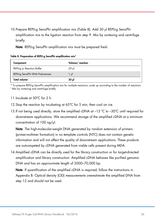10.Prepare REPLI-g SensiPhi amplification mix (Table 8). Add 30 μl REPLI-g SensiPhi amplification mix to the ligation reaction from step 9. Mix by vortexing and centrifuge briefly.

Note: REPLI-g SensiPhi amplification mix must be prepared fresh.

Table 8. Preparation of REPLI-g SensiPhi amplification mix\*

| Component                       | Volume/reaction |
|---------------------------------|-----------------|
| REPLI-g sc Reaction Buffer      | 29 µl           |
| REPLI-g SensiPhi DNA Polymerase | l ul            |
| Total volume†                   | 30 µl           |

\* To prepare REPLI-g SensiPhi amplification mix for multiple reactions, scale up according to the number of reactions. † Mix by vortexing and centrifuge briefly.

- 11. Incubate at 30°C for 2 h.
- 12. Stop the reaction by incubating at 65°C for 5 min, then cool on ice.
- 13.If not being used directly, store the amplified cDNA at  $-15$  °C to  $-30$ °C until required for downstream applications. We recommend storage of the amplified cDNA at a minimum concentration of 100 ng/μl.

Note: The high-molecular-weight DNA generated by random extension of primers (primer-multimer formation) in no template controls (NTC) does not contain genetic information and will not affect the quality of downstream applications. These products are outcompeted by cDNA generated from viable cells present during MDA.

14.Amplified cDNA can be directly used for the library construction or for target-directed amplification and library construction. Amplified cDNA behaves like purified genomic DNA and has an approximate length of 2000–70,000 bp.

Note: If quantification of the amplified cDNA is required, follow the instructions in Appendix B. Optical density (OD) measurements overestimate the amplified DNA from step 12 and should not be used.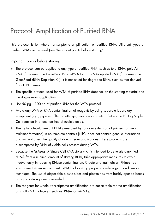## Protocol: Amplification of Purified RNA

This protocol is for whole transcriptome amplification of purified RNA. Different types of purified RNA can be used (see "Important points before starting").

Important points before starting

- The protocol can be applied to any type of purified RNA, such as total RNA, poly A+ RNA (from using the GeneRead Pure mRNA Kit) or rRNA-depleted RNA (from using the GeneRead rRNA Depletion Kit). It is not suited for degraded RNA, such as that derived from FFPE tissues.
- The specific protocol used for WTA of purified RNA depends on the starting material and the downstream application.
- Use 50 pg 100 ng of purified RNA for the WTA protocol.
- Avoid any DNA or RNA contamination of reagents by using separate laboratory equipment (e.g., pipettes, filter pipette tips, reaction vials, etc.). Set up the REPLI-g Single Cell reaction in a location free of nucleic acids.
- The high-molecular-weight DNA generated by random extension of primers (primermultimer formation) in no template controls (NTC) does not contain genetic information and will not affect the quality of downstream applications. These products are outcompeted by DNA of viable cells present during WTA.
- Because the QIAseq FX Single Cell RNA Library Kit is intended to generate amplified cDNA from a minimal amount of starting RNA, take appropriate measures to avoid inadvertently introducing RNase contamination. Create and maintain an RNase-free environment when working with RNA by following proper microbiological and aseptic technique. The use of disposable plastic tubes and pipette tips from freshly opened boxes or bags is strongly recommended.
- The reagents for whole transcriptome amplification are not suitable for the amplification of small RNA molecules, such as tRNAs or miRNAs.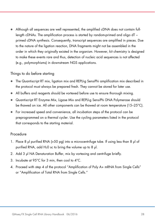Although all sequences are well represented, the amplified cDNA does not contain fulllength cDNAs. The amplification process is started by random-primed and oligo dT – primed cDNA synthesis. Consequently, transcript sequences are amplified in pieces. Due to the nature of the ligation reaction, DNA fragments might not be assembled in the order in which they originally existed in the organism. However, kit chemistry is designed to make these events rare and thus, detection of nucleic acid sequences is not affected (e.g., polymorphisms) in downstream NGS applications.

#### Things to do before starting

- The Quantiscript RT mix, ligation mix and REPLI-g SensiPhi amplification mix described in the protocol must always be prepared fresh. They cannot be stored for later use.
- All buffers and reagents should be vortexed before use to ensure thorough mixing.
- Quantiscript RT Enzyme Mix, Ligase Mix and REPLI-g SensiPhi DNA Polymerase should be thawed on ice. All other components can be thawed at room temperature (15–25°C).
- For increased speed and convenience, all incubation steps of the protocol can be preprogrammed on a thermal cycler. Use the cycling parameters listed in the protocol that corresponds to the starting material.

#### Procedure

- 1. Place 8 μl purified RNA (>50 pg) into a microcentrifuge tube. If using less than 8 μl of purified RNA, add  $H_2O$  sc to bring the volume up to 8 μl.
- 2. Add 3 μl NA Denaturation Buffer, mix by vortexing and centrifuge briefly.
- 3. Incubate at 95°C for 3 min, then cool to 4°C.
- 4. Proceed with step 4 of the protocol "Amplification of Poly A+ mRNA from Single Cells" or "Amplification of Total RNA from Single Cells."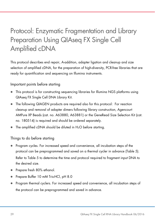## Protocol: Enzymatic Fragmentation and Library Preparation Using QIAseq FX Single Cell Amplified cDNA

This protocol describes end repair, A-addition, adapter ligation and cleanup and size selection of amplified cDNA, for the preparation of high-diversity, PCR-free libraries that are ready for quantification and sequencing on Illumina instruments.

### Important points before starting

- This protocol is for constructing sequencing libraries for Illumina NGS platforms using QIAseq FX Single Cell DNA Library Kit.
- The following QIAGEN products are required also for this protocol: For reaction cleanup and removal of adapter dimers following library construction, Agencourt AMPure XP Beads (cat. no. A63880, A63881) or the GeneRead Size Selection Kit (cat. no. 180514) is required and should be ordered separately.
- The amplified cDNA should be diluted in H<sub>2</sub>O before starting.

### Things to do before starting

- Program cycles. For increased speed and convenience, all incubation steps of the protocol can be preprogrammed and saved on a thermal cycler in advance (Table 5). Refer to Table 5 to determine the time and protocol required to fragment input DNA to the desired size.
- Prepare fresh 80% ethanol.
- Prepare Buffer 10 mM Tris-HCl, pH 8.0
- Program thermal cyclers. For increased speed and convenience, all incubation steps of the protocol can be preprogrammed and saved in advance.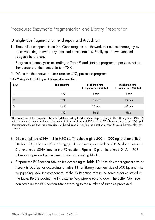### Procedure: Enzymatic Fragmentation and Library Preparation

### FX single-tube fragmentation, end repair and A-addition

1. Thaw all kit components on ice. Once reagents are thawed, mix buffers thoroughly by quick vortexing to avoid any localized concentrations. Briefly spin down vortexed reagents before use.

Program a thermocycler according to Table 9 and start the program. If possible, set the Temperature of the heated lid to ~70°C.

2. When the thermocycler block reaches 4°C, pause the program.

#### Table 9. Amplified cDNA fragmentation reaction conditions

| Step           | <b>Temperature</b> | Incubation time<br>(Fragment size 300 bp) | Incubation time<br>(Fragment size 500 bp) |
|----------------|--------------------|-------------------------------------------|-------------------------------------------|
|                | $4^{\circ}$ C      | 1 min                                     | 1 min                                     |
| $\overline{2}$ | $32^{\circ}$ C     | $15$ min*                                 | $10$ min                                  |
| 3              | $65^{\circ}$ C     | 30 min                                    | 30 min                                    |
| 4              | $4^{\circ}$ C      | Hold                                      | Hold                                      |

\*The insert size of the completed libraries is determined by the duration of step 2. Using 200–1000 ng input DNA, 15 min fragmentation time produces a fragment distribution of around 300 bp if the FX enhancer is used, and 500 bp if this component is omitted. Fragment size can be adjusted by varying the duration of step 2. Use a thermocycler with a heated lid.

- 3. Dilute amplified cDNA 1:3 in H2O sc. This should give 500 1000 ng total amplified DNA in 10 μl H2O sc (50–100 ng/μl). If you have quantified the cDNA, do not exceed 5 μl undiluted cDNA input in the FX reaction. Pipette 10 μl of the diluted DNA in PCR tubes or stripes and place them on ice or a cooling block.
- 4. Prepare the FX Reaction Mix on ice according to Table 10 if the desired fragment size of library is 300 bp, or according to Table 11 for library fragment size of 500 bp and mix by pipetting. Add the components of the FX Reaction Mix in the same order as stated in the table. Before adding the FX Enzyme Mix, pipette up and down the Buffer Mix. You can scale up the FX Reaction Mix according to the number of samples processed.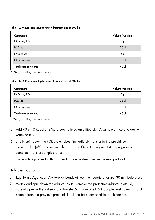Table 10. FX Reaction Setup for insert fragment size of 300 bp

| Component                    | Volume/reaction* |
|------------------------------|------------------|
| FX Buffer, 10x               | 5 <sub>µ</sub>   |
| $H2O$ sc                     | $20$ $\mu$       |
| <b>FX Enhancer</b>           | 5 <sub>µ</sub>   |
| FX Enzyme Mix                | 10 <sub>µ</sub>  |
| <b>Total reaction volume</b> | $40$ $\mu$       |

Mix by pipetting, and keep on ice.

#### Table 11. FX Reaction Setup for insert fragment size of 500 bp

| Component                      | Volume/reaction* |
|--------------------------------|------------------|
| FX Buffer, 10x                 | $5 \mu$          |
| H <sub>2</sub> O <sub>sc</sub> | $25$ $\mu$       |
| FX Enzyme Mix                  | 10 <sub>µ</sub>  |
| <b>Total reaction volume</b>   | ار 40            |

\* Mix by pipetting, and keep on ice.

- 5. Add 40 μl FX Reaction Mix to each diluted amplified cDNA sample on ice and gently vortex to mix.
- 6. Briefly spin down the PCR plate/tubes, immediately transfer to the pre-chilled thermocycler (4°C) and resume the program. Once the fragmentation program is complete, transfer samples to ice.
- 7. Immediately proceed with adapter ligation as described in the next protocol.

#### Adapter ligation

- 8. Equilibrate Agencourt AMPure XP beads at room temperature for 20–30 min before use.
- 9. Vortex and spin down the adapter plate. Remove the protective adapter plate lid, carefully pierce the foil seal and transfer 5 μl from one DNA adapter well to each 50 μl sample from the previous protocol. Track the barcodes used for each sample.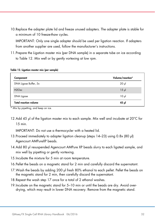10.Replace the adapter plate lid and freeze unused adapters. The adapter plate is stable for a minimum of 10 freeze-thaw cycles.

IMPORTANT: Only one single adapter should be used per ligation reaction. If adapters from another supplier are used, follow the manufacturer's instructions.

11.Prepare the Ligation master mix (per DNA sample) in a separate tube on ice according to Table 12. Mix well or by gently vortexing at low rpm.

| Component                      | Volume/reaction* |
|--------------------------------|------------------|
| DNA Ligase Buffer, 5x          | $20$ $\mu$       |
| H <sub>2</sub> O <sub>sc</sub> | $15 \mu$         |
| DNA Ligase                     | 10 <sub>µ</sub>  |
| <b>Total reaction volume</b>   | $45$ pl          |

#### Table 12. Ligation master mix (per sample)

Mix by pipetting, and keep on ice.

12.Add 45 μl of the ligation master mix to each sample. Mix well and incubate at 20°C for 15 min.

IMPORTANT: Do not use a thermocycler with a heated lid.

- 13.Proceed immediately to adapter ligation cleanup (steps 14–23) using 0.8x (80 μl) Agencourt AMPureXP beads.
- 14.Add 80 μl resuspended Agencourt AMPure XP beads slurry to each ligated sample, and mix well by pipetting or gently vortexing.
- 15.Incubate the mixture for 5 min at room temperature.
- 16.Pellet the beads on a magnetic stand for 2 min and carefully discard the supernatant.
- 17.Wash the beads by adding 200 μl fresh 80% ethanol to each pellet. Pellet the beads on the magnetic stand for 2 min, then carefully discard the supernatant.
- 18.Repeat the wash step 17 once for a total of 2 ethanol washes.
- 19.Incubate on the magnetic stand for 5–10 min or until the beads are dry. Avoid overdrying, which may result in lower DNA recovery. Remove from the magnetic stand.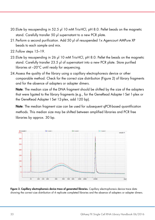- 20.Elute by resuspending in 52.5 μl 10 mM Tris-HCl, pH 8.0. Pellet beads on the magnetic stand. Carefully transfer 50 μl supernatant to a new PCR plate.
- 21.Perform a second purification. Add 50 μl of resuspended 1x Agencourt AMPure XP beads to each sample and mix.
- 22.Follow steps 15–19.
- 23.Elute by resuspending in 26 μl 10 mM Tris-HCl, pH 8.0. Pellet the beads on the magnetic stand. Carefully transfer 23.5 μl of supernatant into a new PCR plate. Store purified libraries at –20°C until ready for sequencing.
- 24.Assess the quality of the library using a capillary electrophoresis device or other comparable method. Check for the correct size distribution (Figure 2) of library fragments and for the absence of adapters or adapter dimers.

Note: The median size of the DNA fragment should be shifted by the size of the adapters that were ligated to the library fragments (e.g., for the GeneRead Adapter I Set 1-plex or the GeneRead Adapter I Set 12-plex, add 120 bp).

Note: The median fragment size can be used for subsequent qPCR-based quantification methods. This median size may be shifted between amplified libraries and PCR free libraries by approx. 30 bp.



Figure 2. Capillary electrophoresis device trace of generated libraries. Capillary electrophoresis device trace data showing the correct size distribution of 4 replicate completed libraries and the absence of adapters or adapter dimers.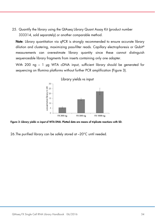25. Quantify the library using the QIAseq Library Quant Assay Kit (product number 333314, sold separately) or another comparable method.

Note: Library quantitation via qPCR is strongly recommended to ensure accurate library dilution and clustering, maximizing pass-filter reads. Capillary electrophoresis or Qubit® measurements can overestimate library quantity since these cannot distinguish sequenceable library fragments from inserts containing only one adapter.

With 200 ng - 1 µg WTA cDNA input, sufficient library should be generated for sequencing on Illumina platforms without further PCR amplification (Figure 3).



Figure 3: Library yields vs input of WTA DNA. Plotted data are means of triplicate reactions with SD.

26.The purified library can be safely stored at –20°C until needed.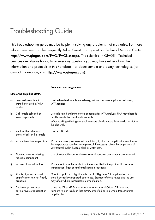## Troubleshooting Guide

This troubleshooting guide may be helpful in solving any problems that may arise. For more information, see also the Frequently Asked Questions page at our Technical Support Center: http://www.giagen.com/FAQ/FAQList.aspx. The scientists in QIAGEN Technical Services are always happy to answer any questions you may have either about the information and protocols in this handbook, or about sample and assay technologies (for contact information, visit http://www.qiagen.com).

|    | Little or no amplified cDNA                                           |                                                                                                                                                                                                                                  |  |  |  |  |
|----|-----------------------------------------------------------------------|----------------------------------------------------------------------------------------------------------------------------------------------------------------------------------------------------------------------------------|--|--|--|--|
| a) | Lysed cells sample not<br>immediately used in WTA<br>reaction         | Use the lysed cell sample immediately, without any storage prior to performing<br>WTA reaction.                                                                                                                                  |  |  |  |  |
| b) | Cell sample collected or<br>stored improperly                         | Use cells stored under the correct conditions for WTA analysis. RNA may degrade<br>quickly in cells that are stored incorrectly.                                                                                                 |  |  |  |  |
|    |                                                                       | When working with single or small numbers of cells, ensure that they do not stick to<br>the tube wall.                                                                                                                           |  |  |  |  |
| c) | Inefficient lysis due to an<br>excess of cells in the sample          | Use $1-1000$ cells                                                                                                                                                                                                               |  |  |  |  |
| d) | Incorrect reaction temperature                                        | Make sure to carry out reverse transcription, ligation and amplification reactions at<br>the temperatures specified in the protocol. If necessary, check the temperature of<br>your thermal cycler, heating block or water bath. |  |  |  |  |
| e) | Pipetting error or missing<br>reaction component                      | Use pipettes with care and make sure all reaction components are included.                                                                                                                                                       |  |  |  |  |
| f) | Incorrect incubation time                                             | Make sure to use the incubation times specified in the protocol for reverse<br>transcription, ligation and amplification reactions.                                                                                              |  |  |  |  |
| g) | RT mix, ligation mix and<br>amplification mix not freshly<br>prepared | Quantiscript RT mix, ligation mix and REPLI-g SensiPhi amplification mix<br>should be freshly prepared before use. Storage of these mixes prior to use<br>may affect whole transcriptome amplification.                          |  |  |  |  |
| h) | Choice of primer used<br>during reverse transcription<br>step         | Using the Oligo dT Primer instead of a mixture of Oligo dT Primer and<br>Random Primer results in less cDNA amplified during whole transcriptome<br>amplification.                                                               |  |  |  |  |

#### Comments and suggestions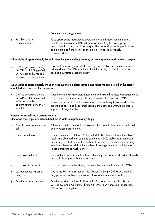#### Comments and suggestions

i) Possible RNase contamination Take appropriate measures to avoid inadvertent RNase contamination. Create and maintain an RNase-free environment by following proper microbiological and aseptic technique. The use of disposable plastic tubes and pipette tips from freshly opened boxes or bases in strongly recommended.

#### cDNA yields of approximately 10 μg in negative (no template) controls, but no mappable reads in these samples.

| a) DNA is generated during<br>the QIAseg FX Single Cell<br>WTA reaction by random | High-molecular-weight product can be generated by random extension of<br>primer-dimers. This DNA will not affect the quality of actual samples or<br>specific downstream genetic assays. |
|-----------------------------------------------------------------------------------|------------------------------------------------------------------------------------------------------------------------------------------------------------------------------------------|
| extension of primer-dimers                                                        |                                                                                                                                                                                          |

#### cDNA yields of approximately 10 μg in negative (no template) controls and reads mapping to either the correct annotated reference or other sequences

| a) DNA is generated during<br>the QIAseg FX Single Cell  | Decontaminate all laboratory equipment and take all necessary precautions to<br>avoid contamination of reagents and samples with extraneous DNA.                                       |
|----------------------------------------------------------|----------------------------------------------------------------------------------------------------------------------------------------------------------------------------------------|
| WTA reaction by<br>contaminating RNA or DNA<br>templates | If possible, work in a laminar-flow hood. Use sterile equipment and barrier<br>pipette tips only, and keep amplification chemistry and DNA templates in<br>separate storage locations. |

#### Protocols using cells as a starting material Little or no transcripts are detected, but cDNA yield is approximately 20 μg

| a) | Sample does not contain a<br>cell    | Dilutions of cells down to 1 cell/volume often contain less than a single cell<br>due to Poisson distribution.                                                                                                                                                                                                                                          |
|----|--------------------------------------|---------------------------------------------------------------------------------------------------------------------------------------------------------------------------------------------------------------------------------------------------------------------------------------------------------------------------------------------------------|
| bl | Cells are not intact                 | Use viable cells for QIAseq FX Single Cell RNA Library Kit reactions. Best<br>results are obtained with samples containing >90% viable cells. Although<br>according to cell staining, the number of dead cells in such samples is very<br>low, it has been found that the number of damaged cells that still have an<br>intact membrane is much higher. |
| c) | Cells have cell walls                | Cells with cell walls cannot be lysed efficiently. Do not use cells with cell walls<br>(e.g. cells from plants, bacteria or fungi).                                                                                                                                                                                                                     |
| d) | Cells have been fixed                | Cells that have been fixed (e.g., formaldehyde) cannot be used for WTA.                                                                                                                                                                                                                                                                                 |
| e) | Low-abundance transcript<br>analyzed | Due to the Poisson distribution, the QIAseq FX Single Cell RNA Library Kit<br>may provide variable amplification of low-abundance transcripts.                                                                                                                                                                                                          |
| f) | Small transcripts analyzed           | Small transcripts, such as tRNA or miRNAs, cannot be amplified by the<br>QIAseq FX Single Cell RNA Library Kit. Only RNA transcripts longer than<br>500 nt can be amplified.                                                                                                                                                                            |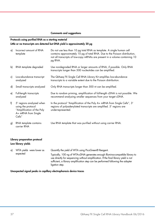#### Comments and suggestions

#### Protocols using purified RNA as a starting material Little or no transcripts are detected but DNA yield is approximately 20 μg

| a) | Incorrect amount of RNA<br>template                                                                           | Do not use less than 10 pg total RNA as template. A single human cell<br>contains approximately 10 pg of total RNA. Due to the Poisson distribution,<br>not all transcripts of low-copy mRNAs are present in a volume containing 10<br>pg RNA. |
|----|---------------------------------------------------------------------------------------------------------------|------------------------------------------------------------------------------------------------------------------------------------------------------------------------------------------------------------------------------------------------|
| b) | RNA template degraded                                                                                         | Use nondegraded RNA or larger amounts of RNA, if possible. Only RNA<br>transcripts longer than 500 nucleotides can be amplified.                                                                                                               |
| c) | Low-abundance transcript<br>analyzed                                                                          | The QIAseq FX Single Cell RNA Library Kit amplifies low-abundance<br>transcripts to a variable extent due to the Poisson distribution.                                                                                                         |
| d) | Small transcripts analyzed                                                                                    | Only RNA transcripts longer than 500 nt can be amplified.                                                                                                                                                                                      |
| e) | Full-length transcripts<br>analyzed                                                                           | Due to random priming, amplification of full-length cDNA is not possible. We<br>recommend analyzing smaller sequences from your target cDNA.                                                                                                   |
| f) | 5' regions analyzed when<br>using the protocol<br>"Amplification of the Poly<br>A+ mRNA from Single<br>Cells" | In the protocol "Amplification of the Poly A+ mRNA from Single Cells", 3'<br>regions of polyadenylated transcripts are amplified. 5' regions are<br>underrepresented.                                                                          |
| g) | RNA template contains<br>carrier RNA                                                                          | Use RNA template that was purified without using carrier RNA.                                                                                                                                                                                  |
|    | Library preparation protocol<br>Low library yields                                                            |                                                                                                                                                                                                                                                |
| a) | WTA yields were lower as                                                                                      | Quantify the yield of WTA using PicoGreen® Reagent.                                                                                                                                                                                            |

expected Typically, 100 ng of WTA-cDNA generates enough Illumina-compatible library to use directly for sequencing without amplification. If the final library yield is not sufficient, a library amplification step can be performed following the adapter ligation step.

Unexpected signal peaks in capillary electrophoresis device traces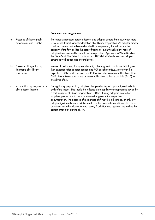#### Comments and suggestions

| a) | Presence of shorter peaks<br>between 60 and 120 bp                  | These peaks represent library adapters and adapter dimers that occur when there<br>is no, or insufficient, adapter depletion after library preparation. As adapter dimers<br>can form clusters on the flow cell and will be sequenced, this will reduce the<br>capacity of the flow cell for the library fragments, even though a low ratio of<br>adapter-dimers versus library will not be a problem. Agencourt AMPure Beads or<br>the GeneRead Size Selection Kit (cat. no. 180514) efficiently removes adapter<br>dimers as well as free adapter molecules.                                                                               |
|----|---------------------------------------------------------------------|----------------------------------------------------------------------------------------------------------------------------------------------------------------------------------------------------------------------------------------------------------------------------------------------------------------------------------------------------------------------------------------------------------------------------------------------------------------------------------------------------------------------------------------------------------------------------------------------------------------------------------------------|
| b) | Presence of larger library<br>fragments after library<br>enrichment | In case of performing library enrichment, if the fragment population shifts higher<br>than expected after adapter ligation and PCR enrichment (e.g., more than the<br>expected 120 bp shift), this can be a PCR artifact due to over-amplification of the<br>DNA library. Make sure to use as few amplification cycles as possible (8-10) to<br>avoid this effect.                                                                                                                                                                                                                                                                           |
| c) | Incorrect library fragment size<br>after adapter ligation           | During library preparation, adapters of approximately 60 bp are ligated to both<br>ends of the inserts. This should be reflected on a capillary electrophoresis device by<br>a shift in size of all library fragments of 120 bp. If using adapters from other<br>suppliers, please refer to the size information given in the respective<br>documentation. The absence of a clear size shift may be indicate no, or only low,<br>adapter ligation efficiency. Make sure to use the parameters and incubation times<br>described in the handbook for end repair, A-addition and ligation - as well as the<br>correct amount of starting cDNA. |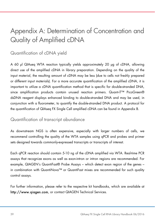## Appendix A: Determination of Concentration and Quality of Amplified cDNA

### Quantification of cDNA yield

A 60 μl QIAseq WTA reaction typically yields approximately 20 μg of cDNA, allowing direct use of the amplified cDNA in library preparation. Depending on the quality of the input material, the resulting amount of cDNA may be less (due to cells not freshly prepared or different input materials). For a more accurate quantification of the amplified cDNA, it is important to utilize a cDNA quantification method that is specific for double-stranded DNA, since amplification products contain unused reaction primers. Quant-iT™ PicoGreen® dsDNA reagent displays enhanced binding to double-stranded DNA and may be used, in conjunction with a fluorometer, to quantify the double-stranded DNA product. A protocol for the quantification of QIAseq FX Single Cell amplified cDNA can be found in Appendix B.

### Quantification of transcript abundance

As downstream NGS is often expensive, especially with larger numbers of cells, we recommend controlling the quality of the WTA samples using qPCR and probes and primer sets designed towards commonly-expressed transcripts or transcripts of interest.

Each qPCR reaction should contain 5-10 ng of the cDNA amplified via WTA. Real-time PCR assays that recognize exons as well as exon-intron or intron regions are recommended. For example, QIAGEN's QuantiFast® Probe Assays – which detect exon region of the genes – in combination with QuantiNova™ or QuantiFast mixes are recommended for such quality control assays.

For further information, please refer to the respective kit handbooks, which are available at http://www.giagen.com, or contact QIAGEN Technical Services.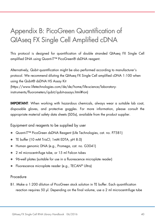## Appendix B: PicoGreen Quantification of QIAseq FX Single Cell Amplified cDNA

This protocol is designed for quantification of double stranded QIAseq FX Single Cell amplified DNA using Quant-iT™ PicoGreen® dsDNA reagent.

Alternatively, Qubit quantification might be also performed according to manufacturer's protocol. We recommend diluting the QIAseq FX Single Cell amplified cDNA 1:100 when using the Qubit® dsDNA HS Assay Kit (https://www.lifetechnologies.com/de/de/home/life-science/laboratoryinstruments/fluorometers/qubit/qubit-assays.html#ion)

IMPORTANT: When working with hazardous chemicals, always wear a suitable lab coat, disposable gloves, and protective goggles. For more information, please consult the appropriate material safety data sheets (SDSs), available from the product supplier.

Equipment and reagents to be supplied by user

- Quant-iT™ PicoGreen dsDNA Reagent (Life Technologies, cat. no. P7581)
- TE buffer (10 mM TrisCl; 1mM EDTA, pH 8.0)
- Human genomic DNA (e.g., Promega, cat. no. G3041)
- 2 ml microcentrifuge tube, or 15 ml Falcon tubes
- 96-well plates (suitable for use in a fluorescence microplate reader)
- Fluorescence microplate reader (e.g., TECAN® Ultra)

#### Procedure

B1. Make a 1:200 dilution of PicoGreen stock solution in TE buffer. Each quantification reaction requires 50 μl. Depending on the final volume, use a 2 ml microcentrifuge tube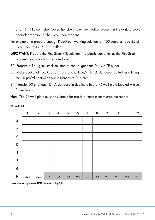or a 15 ml Falcon tube. Cover the tube in aluminum foil or place it in the dark to avoid photodegradation of the PicoGreen reagent.

- For example, to prepare enough PicoGreen working solution for 100 samples, add 25 μl PicoGreen to 4975 μl TE buffer.
- IMPORTANT: Prepare the PicoGreen/TE solution in a plastic container as the PicoGreen reagent may adsorb to glass surfaces.
- B2. Prepare a 16 μg/ml stock solution of control genomic DNA in TE buffer.
- B3. Make 200 μl of 1.6, 0.8, 0.4, 0.2 and 0.1 μg/ml DNA standards by further diluting the 16 μg/ml control genomic DNA with TE buffer.
- B4. Transfer 50 μl of each DNA standard in duplicate into a 96-well plate labeled A (see figure below).

Note: The 96-well plate must be suitable for use in a fluorescent microplate reader.



96-well plate

Gray squares: genomic DNA standards (μg/μl).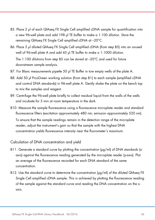- B5. Place 2 μl of each QIAseq FX Single Cell amplified cDNA sample for quantification into a new 96-well plate and add 198 μl TE buffer to make a 1:100 dilution. Store the remaining QIAseq FX Single Cell amplified cDNA at –20°C.
- B6. Place 5 μl diluted QIAseq FX Single Cell amplified cDNA (from step B5) into an unused well of 96-well plate A and add 45 μl TE buffer to make a 1:1000 dilution.

The 1:100 dilutions from step B5 can be stored at –20°C and used for future downstream sample analysis.

- B7. For Blanc measurements pipette 50 μl TE Buffer in tow empty wells of the plate A.
- B8. Add 50 μl PicoGreen working solution (from step B1) to each sample (amplified cDNA and control DNA standards) in 96-well plate A. Gently shake the plate on the bench top to mix the samples and reagent.
- B9. Centrifuge the 96-well plate briefly to collect residual liquid from the walls of the wells and incubate for 5 min at room temperature in the dark.
- B10. Measure the sample fluorescence using a fluorescence microplate reader and standard fluorescence filters (excitation approximately 480 nm; emission approximately 520 nm). To ensure that the sample readings remain in the detection range of the microplate reader, adjust the instrument's gain so that the sample with the highest DNA concentration yields fluorescence intensity near the fluorometer's maximum.

Calculation of DNA concentration and yield

- B11. Generate a standard curve by plotting the concentration (μg/ml) of DNA standards (xaxis) against the fluorescence reading generated by the microplate reader (y-axis). Plot an average of the fluorescence recorded for each DNA standard of the same concentration.
- B12. Use the standard curve to determine the concentration (μg/ml) of the diluted QIAseq FX Single Cell amplified cDNA sample. This is achieved by plotting the fluorescence reading of the sample against the standard curve and reading the DNA concentration on the xaxis.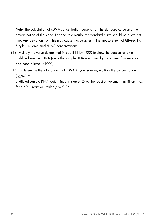Note: The calculation of cDNA concentration depends on the standard curve and the determination of the slope. For accurate results, the standard curve should be a straight line. Any deviation from this may cause inaccuracies in the measurement of QIAseq FX Single Cell amplified cDNA concentrations.

- B13. Multiply the value determined in step B11 by 1000 to show the concentration of undiluted sample cDNA (since the sample DNA measured by PicoGreen fluorescence had been diluted 1:1000).
- B14. To determine the total amount of cDNA in your sample, multiply the concentration (μg/ml) of

undiluted sample DNA (determined in step B12) by the reaction volume in milliliters (i.e., for a 60 μl reaction, multiply by 0.06).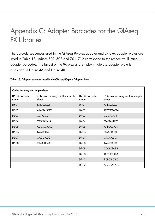## Appendix C: Adapter Barcodes for the QIAseq FX Libraries

The barcode sequences used in the QIAseq 96-plex adapter and 24-plex adapter plates are listed in Table 13. Indices 501–508 and 701–712 correspond to the respective Illumina adapter barcodes. The layout of the 96-plex and 24-plex single use adapter plate is displayed in Figure 4A and Figure 4B.

|  |  |  |  |  |  | Table 13. Adapter barcodes used in the QIAseq 96-plex Adapter Plate |
|--|--|--|--|--|--|---------------------------------------------------------------------|
|--|--|--|--|--|--|---------------------------------------------------------------------|

| Codes for entry on sample sheet |                                           |                      |                                           |  |  |
|---------------------------------|-------------------------------------------|----------------------|-------------------------------------------|--|--|
| D50X barcode<br>name            | i5 bases for entry on the sample<br>sheet | D70X barcode<br>name | 17 bases for entry on the sample<br>sheet |  |  |
| D <sub>50</sub> 1               | <b>TATAGCCT</b>                           | D701                 | <b>ATTACTCG</b>                           |  |  |
| D <sub>502</sub>                | <b>ATAGAGGC</b>                           | D702                 | <b>TCCGGAGA</b>                           |  |  |
| D <sub>503</sub>                | <b>CCTATCCT</b>                           | D703                 | <b>CGCTCATT</b>                           |  |  |
| D <sub>504</sub>                | <b>GGCTCTGA</b>                           | D704                 | <b>GAGATTCC</b>                           |  |  |
| D <sub>505</sub>                | <b>AGGCGAAG</b>                           | D705                 | <b>ATTCAGAA</b>                           |  |  |
| D <sub>506</sub>                | <b>TAATCTTA</b>                           | D706                 | <b>GAATTCGT</b>                           |  |  |
| D <sub>507</sub>                | CAGGACGT                                  | D707                 | <b>CTGAAGCT</b>                           |  |  |
| D <sub>508</sub>                | <b>GTACTGAC</b>                           | D708                 | <b>TAATGCGC</b>                           |  |  |
|                                 |                                           | D709                 | <b>CGGCTATG</b>                           |  |  |
|                                 |                                           | D710                 | <b>TCCGCGAA</b>                           |  |  |
|                                 |                                           | D711                 | <b>TCTCGCGC</b>                           |  |  |
|                                 |                                           | D712                 | <b>AGCGATAG</b>                           |  |  |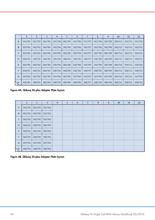|                          | $\mathbf{1}$ | $\overline{2}$ | 3       | 4       | 5       | 6       | 7       | 8       | $\overline{9}$ | 10      | 11      | 12      |
|--------------------------|--------------|----------------|---------|---------|---------|---------|---------|---------|----------------|---------|---------|---------|
| $\mathbf{A}$             | 501/701      | 501/702        | 501/703 | 501/704 | 501/705 | 501/706 | 501/707 | 501/708 | 501/709        | 501/710 | 501/711 | 501/712 |
| B                        | 502/701      | 502/702        | 502/703 | 502/704 | 502/705 | 502/706 | 502/707 | 502/708 | 502/709        | 502/710 | 502/711 | 502/712 |
| C                        | 503/701      | 503/702        | 503/703 | 503/704 | 503/705 | 503/706 | 503/707 | 503/708 | 503/709        | 503/710 | 503/711 | 503/712 |
| D                        | 504/701      | 504/702        | 504/703 | 504/704 | 504/705 | 504/706 | 504/707 | 504/708 | 504/709        | 504/710 | 504/711 | 504/712 |
| E                        | 505/701      | 505/702        | 505/703 | 505/704 | 505/705 | 505/706 | 505/707 | 505/708 | 505/709        | 505/710 | 505/711 | 505/712 |
| F                        | 506/701      | 506/702        | 506/703 | 506/704 | 506/705 | 506/706 | 506/707 | 506/708 | 506/709        | 506/710 | 506/711 | 506/712 |
| G                        | 507/701      | 507/702        | 507/703 | 507/704 | 507/705 | 507/706 | 507/707 | 507/708 | 507/709        | 507/710 | 507/711 | 507/712 |
| $\overline{\phantom{a}}$ | 508/701      | 508/702        | 508/703 | 508/704 | 508/705 | 508/706 | 508/707 | 508/708 | 508/709        | 508/710 | 508/711 | 508/712 |

Figure 4A. QIAseq 96-plex Adapter Plate layout.

|                | $\mathbf{1}$ | $\overline{2}$ | $\overline{\mathbf{3}}$ | 4 | 5 | $6\phantom{1}$ | $\overline{7}$ | $\bf{8}$ | $\overline{9}$ | 10 | 11 | 12 |
|----------------|--------------|----------------|-------------------------|---|---|----------------|----------------|----------|----------------|----|----|----|
| $\overline{A}$ | 501/701      | 501/702        | 501/703                 |   |   |                |                |          |                |    |    |    |
| $\mathbf{B}$   | 502/701      | 502/702        | 502/703                 |   |   |                |                |          |                |    |    |    |
| $\mathsf{C}$   | 503/701      | 503/702        | 503/703                 |   |   |                |                |          |                |    |    |    |
| D              | 504/701      | 504/702        | 504/703                 |   |   |                |                |          |                |    |    |    |
| E              | 505/701      | 505/702        | 505/703                 |   |   |                |                |          |                |    |    |    |
| F              | 506/701      | 506/702        | 506/703                 |   |   |                |                |          |                |    |    |    |
| G              | 507/701      | 507/702        | 507/703                 |   |   |                |                |          |                |    |    |    |
| H              | 508/701      | 508/702        | 508/703                 |   |   |                |                |          |                |    |    |    |

Figure 4B. QIAseq 24-plex Adapter Plate layout.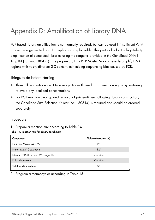## Appendix D: Amplification of Library DNA

PCR-based library amplification is not normally required, but can be used if insufficient WTA product was generated and if samples are irreplaceable. This protocol is for the high-fidelity amplification of completed libraries using the reagents provided in the GeneRead DNA I Amp Kit (cat. no. 180455). The proprietary HiFi PCR Master Mix can evenly amplify DNA regions with vastly different GC content, minimizing sequencing bias caused by PCR.

#### Things to do before starting

- Thaw all reagents on ice. Once reagents are thawed, mix them thoroughly by vortexing to avoid any localized concentrations.
- For PCR reaction cleanup and removal of primer-dimers following library construction, the GeneRead Size Selection Kit (cat. no. 180514) is required and should be ordered separately.

#### Procedure

1. Prepare a reaction mix according to Table 14.

#### Table 14. Reaction mix for library enrichment

| Component                           | Volume/reaction (µl) |
|-------------------------------------|----------------------|
| HiFi PCR Master Mix, 2x             | 25                   |
| Primer Mix (10 µM each)             | 1.5                  |
| Library DNA (from step 26, page 35) | Variable             |
| <b>RNase-free water</b>             | Variable             |
| <b>Total reaction volume</b>        | 50                   |

2. Program a thermocycler according to Table 15.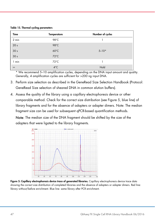Table 15. Thermal cycling parameters

| Time            | <b>Temperature</b> | Number of cycles |
|-----------------|--------------------|------------------|
| 2 min           | 98°C               |                  |
| 20 <sub>s</sub> | $98^{\circ}$ C     |                  |
| 30 <sub>s</sub> | $60^{\circ}$ C     | $5 - 10*$        |
| 30 <sub>s</sub> | $72^{\circ}$ C     |                  |
| 1 min           | $72^{\circ}$ C     |                  |
| $\infty$        | $4^{\circ}$ C      | Hold             |

\* We recommend 5–10 amplification cycles, depending on the DNA input amount and quality. Generally, 4 amplification cycles are sufficient for >200 ng input DNA.

- 3. Perform size selection as described in the GeneRead Size Selection Handbook (Protocol: GeneRead Size selection of sheared DNA in common elution buffers).
- 4. Assess the quality of the library using a capillary electrophoresis device or other comparable method. Check for the correct size distribution (see Figure 5, blue line) of library fragments and for the absence of adapters or adapter dimers. Note: The median fragment size can be used for subsequent qPCR-based quantification methods.

Note: The median size of the DNA fragment should be shifted by the size of the adapters that were ligated to the library fragments.



Figure 5: Capillary electrophoresis device trace of generated libraries. Capillary electrophoresis device trace data showing the correct size distribution of completed libraries and the absence of adapters or adapter dimers. Red line: library without/before enrichment. Blue line: same library after PCR enrichment.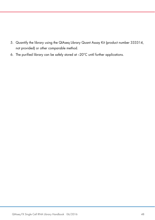- 5. Quantify the library using the QIAseq Library Quant Assay Kit (product number 333314, not provided) or other comparable method.
- 6. The purified library can be safely stored at –20°C until further applications.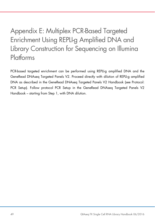## Appendix E: Multiplex PCR-Based Targeted Enrichment Using REPLI-g Amplified DNA and Library Construction for Sequencing on Illumina Platforms

PCR-based targeted enrichment can be performed using REPLI-g amplified DNA and the GeneRead DNAseq Targeted Panels V2. Proceed directly with dilution of REPLI-g amplified DNA as described in the GeneRead DNAseq Targeted Panels V2 Handbook (see Protocol: PCR Setup). Follow protocol PCR Setup in the GeneRead DNAseq Targeted Panels V2 Handbook – starting from Step 1, with DNA dilution.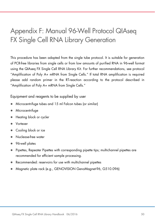## Appendix F: Manual 96-Well Protocol QIAseq FX Single Cell RNA Library Generation

This procedure has been adapted from the single tube protocol. It is suitable for generation of PCR-free libraries from single cells or from low amounts of purified RNA in 96-well format using the QIAseq FX Single Cell RNA Library Kit. For further recommendations, see protocol "Amplification of Poly A+ mRNA from Single Cells." If total RNA amplification is required please add random primer in the RT-reaction according to the protocol described in "Amplification of Poly A+ mRNA from Single Cells."

Equipment and reagents to be supplied by user

- Microcentrifuge tubes and 15 ml Falcon tubes (or similar)
- Microcentrifuge
- Heating block or cycler
- Vortexer
- Cooling block or ice
- Nuclease-free water
- 96-well plates
- Pipettes, Repeater Pipettes with corresponding pipette tips; multichannel pipettes are recommended for efficient sample processing.
- Recommended: reservoirs for use with multichannel pipettes
- Magnetic plate rack (e.g., GENOVISION GenoMagnet-96, G510.096)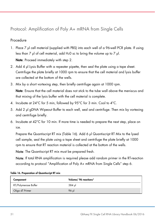### Protocol: Amplification of Poly A+ mRNA from Single Cells

### Procedure

- 1. Place 7 μl cell material (supplied with PBS) into each well of a 96-well PCR plate. If using less than 7 μl of cell material, add  $H_2O$  sc to bring the volume up to 7 μl. Note: Proceed immediately with step 2.
- 2. Add 4 μl Lysis Buffer with a repeater pipette, then seal the plate using a tape sheet. Centrifuge the plate briefly at 1000 rpm to ensure that the cell material and lysis buffer are collected at the bottom of the wells.
- 3. Mix by a short vortexing step, then briefly centrifuge again at 1000 rpm. Note: Ensure that the cell material does not stick to the tube wall above the meniscus and that mixing of the lysis buffer with the cell material is complete.
- 4. Incubate at 24°C for 5 min, followed by 95°C for 3 min. Cool to 4°C.
- 5. Add 2 μl gDNA Wipeout Buffer to each well, seal and centrifuge. Then mix by vortexing and centrifuge briefly.
- 6. Incubate at 42°C for 10 min. If more time is needed to prepare the next step, place on ice.

Prepare the Quantiscript RT mix (Table 16). Add 6 μl Quantiscript RT Mix to the lysed cell sample, seal the plate using a tape sheet and centrifuge the plate briefly at 1000 rpm to ensure that RT reaction material is collected at the bottom of the wells.

Note: The Quantiscript RT mix must be prepared fresh.

Note: If total RNA amplification is required please add random primer in the RT-reaction according to protocol "Amplification of Poly A+ mRNA from Single Cells" step 6.

| Component            | Volume/ 96 reactions* |
|----------------------|-----------------------|
| RT/Polymerase Buffer | 384 µl                |
| Oligo dT Primer      | 96 ul                 |

#### Table 16. Preparation of Quantiscript RT mix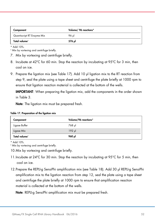| Component                  | Volume/ 96 reactions* |
|----------------------------|-----------------------|
| Quantiscript RT Enzyme Mix | 96 µl                 |
| Total volume <sup>t</sup>  | 576 µl                |

\* Add 10%.

† Mix by vortexing and centrifuge briefly.

- 7. Mix by vortexing and centrifuge briefly.
- 8. Incubate at 42ºC for 60 min. Stop the reaction by incubating at 95ºC for 3 min, then cool on ice.
- 9. Prepare the ligation mix (see Table 17). Add 10 μl ligation mix to the RT reaction from step 9, seal the plate using a tape sheet and centrifuge the plate briefly at 1000 rpm to ensure that ligation reaction material is collected at the bottom of the wells.

IMPORTANT: When preparing the ligation mix, add the components in the order shown in Table 3.

Note: The ligation mix must be prepared fresh.

| .                         |                      |  |
|---------------------------|----------------------|--|
| Component                 | Volume/96 reactions* |  |
| Ligase Buffer             | 768 µl               |  |
| Ligase Mix                | $192$ µ              |  |
| Total volume <sup>t</sup> | 960 µl               |  |

#### Table 17. Preparation of the ligation mix

\* Add 10%.

† Mix by vortexing and centrifuge briefly.

10.Mix by vortexing and centrifuge briefly.

- 11. Incubate at 24°C for 30 min. Stop the reaction by incubating at 95°C for 5 min, then cool on ice.
- 12.Prepare the REPLI-g SensiPhi amplification mix (see Table 18). Add 30 μl REPLI-g SensiPhi amplification mix to the ligation reaction from step 12, seal the plate using a tape sheet and centrifuge the plate briefly at 1000 rpm to ensure that amplification reaction material is collected at the bottom of the wells.

Note: REPLI-g SensiPhi amplification mix must be prepared fresh.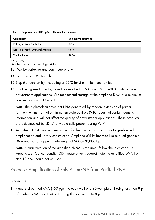Table 18. Preparation of REPLI-g SensiPhi amplification mix\*

| Component                       | Volume/96 reactions* |
|---------------------------------|----------------------|
| REPLI-g sc Reaction Buffer      | 2784 µl              |
| REPLI-g SensiPhi DNA Polymerase | 96 µl                |
| Total volume <sup>t</sup>       | $2880$ µ             |

\* Add 10%.

† Mix by vortexing and centrifuge briefly.

- 13. Mix by vortexing and centrifuge briefly.
- 14.Incubate at 30ºC for 2 h.
- 15. Stop the reaction by incubating at 65°C for 5 min, then cool on ice.
- 16.If not being used directly, store the amplified cDNA at –15ºC to –30ºC until required for downstream applications. We recommend storage of the amplified DNA at a minimum concentration of 100 ng/μl.

Note: The high-molecular-weight DNA generated by random extension of primers (primer-multimer formation) in no template controls (NTC) does not contain genetic information and will not affect the quality of downstream applications. These products are outcompeted by cDNA of viable cells present during WTA.

17.Amplified cDNA can be directly used for the library construction or target-directed amplification and library construction. Amplified cDNA behaves like purified genomic DNA and has an approximate length of 2000–70,000 bp.

Note: If quantification of the amplified cDNA is required, follow the instructions in Appendix B. Optical density (OD) measurements overestimate the amplified DNA from step 12 and should not be used.

### Protocol: Amplification of Poly A+ mRNA from Purified RNA

#### Procedure

1. Place 8 μl purified RNA (>50 pg) into each well of a 96-well plate. If using less than 8 μl of purified RNA, add  $H_2O$  sc to bring the volume up to 8 μl.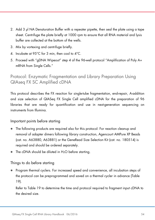- 2. Add 3 μl NA Denaturation Buffer with a repeater pipette, then seal the plate using a tape sheet. Centrifuge the plate briefly at 1000 rpm to ensure that all RNA material and lysis buffer are collected at the bottom of the wells.
- 3. Mix by vortexing and centrifuge briefly.
- 4. Incubate at 95°C for 3 min, then cool to 4°C.
- 5. Proceed with "gDNA Wipeout" step 4 of the 96-well protocol "Amplification of Poly A+ mRNA from Single Cells."

### Protocol: Enzymatic Fragmentation and Library Preparation Using QIAseq FX SC Amplified cDNA

This protocol describes the FX reaction for single-tube fragmentation, end-repair, A-addition and size selection of QIASeq FX Single Cell amplified cDNA for the preparation of 96 libraries that are ready for quantification and use in next-generation sequencing on instruments from Illumina.

### Important points before starting

- The following products are required also for this protocol: For reaction cleanup and removal of adapter dimers following library construction, Agencourt AMPure XP Beads (cat. no. A63880, A63881) or the GeneRead Size Selection Kit (cat. no. 180514) is required and should be ordered separately.
- The cDNA should be diluted in  $H_2O$  before starting.

### Things to do before starting

 Program thermal cyclers. For increased speed and convenience, all incubation steps of the protocol can be preprogrammed and saved on a thermal cycler in advance (Table 19).

Refer to Table 19 to determine the time and protocol required to fragment input cDNA to the desired size.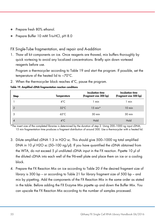- Prepare fresh 80% ethanol.
- Prepare Buffer 10 mM Tris-HCl, pH 8.0

### FX Single-Tube fragmentation, end repair and A-addition

1. Thaw all kit components on ice. Once reagents are thawed, mix buffers thoroughly by quick vortexing to avoid any localized concentrations. Briefly spin down vortexed reagents before use.

Program a thermocycler according to Table 19 and start the program. If possible, set the temperature of the heated lid to ~70°C.

2. When the thermocycler block reaches 4°C, pause the program.

#### Table 19. Amplified cDNA fragmentation reaction conditions

| <b>Step</b>    | <b>Temperature</b> | Incubation time<br>(Fragment size 300 bp) | Incubation time<br>(Fragment size 500 bp) |
|----------------|--------------------|-------------------------------------------|-------------------------------------------|
|                | $4^{\circ}$ C      | min                                       | l min                                     |
| $\overline{2}$ | $32^{\circ}$ C     | $15 \text{ min}^{\star}$                  | $10$ min                                  |
| 3              | $65^{\circ}$ C     | 30 min                                    | 30 min                                    |
| 4              | $4^{\circ}$ C      | Hold                                      | Hold                                      |

\*The insert size of the completed libraries is determined by the duration of step 2. Using 200–1000 ng input cDNA, 15 min fragmentation time produces a fragment distribution of around 300. Use a thermocycler with a heated lid.

- 3. Dilute amplified cDNA 1:3 in H2O sc. This should give 500–1000 ng total amplified DNA in 10 μl H2O sc (50–100 ng/μl). If you have quantified the cDNA obtained from the WTA, do not exceed 5 μl undiluted cDNA input in the FX reaction. Pipette 10 μl of the diluted cDNA into each well of the 96-well plate and place them on ice or a cooling block.
- 4. Prepare the FX Reaction Mix on ice according to Table 20 if the desired fragment size of library is 300 bp – or according to Table 21 for library fragment size of 500 bp – and mix by pipetting. Add the components of the FX Reaction Mix in the same order as stated in the table. Before adding the FX Enzyme Mix pipette up and down the Buffer Mix. You can upscale the FX Reaction Mix according to the number of samples processed.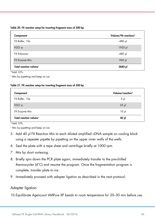Table 20. FX reaction setup for inserting fragment sizes of 300 bp

| Component                          | Volume/96 reactions* |
|------------------------------------|----------------------|
| FX Buffer, 10x                     | 480 µl               |
| $H2O$ sc                           | 1920 µl              |
| <b>FX Enhancer</b>                 | 480 µl               |
| FX Enzyme Mix                      | 960 µl               |
| Total reaction volume <sup>t</sup> | 3840 µl              |

\*Add 10%.

† Mix by pipetting and keep on ice.

#### Table 21. FX reaction setup for inserting fragment sizes of 500 bp

| Component                          | Volume/reaction* |
|------------------------------------|------------------|
| FX Buffer, 10x                     | $5 \mu$          |
| $H2O$ sc                           | $25$ $\mu$       |
| FX Enzyme Mix                      | 10 <sub>µ</sub>  |
| Total reaction volume <sup>t</sup> | ار 40            |

\*Add 10%.

† Mix by pipetting and keep on ice.

- 5. Add 40 μl FX Reaction Mix to each diluted amplified cDNA sample on cooling block using a repeater pipette by pipetting on the upper inner walls of the wells.
- 6. Seal the plate with a tape sheet and centrifuge briefly at 1000 rpm.
- 7. Mix by short vortexing.
- 8. Briefly spin down the PCR plate again, immediately transfer to the pre-chilled thermocycler (4°C) and resume the program. Once the fragmentation program is complete, transfer plate to ice.
- 9. Immediately proceed with adapter ligation as described in the next protocol.

#### Adapter ligation

10.Equilibrate Agencourt AMPure XP beads to room temperature for 20–30 min before use.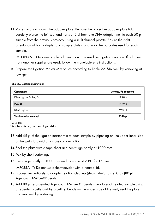11.Vortex and spin down the adapter plate. Remove the protective adapter plate lid, carefully pierce the foil seal and transfer 5 μl from one DNA adapter well to each 50 μl sample from the previous protocol using a multichannel pipette. Ensure the right orientation of both adapter and sample plates, and track the barcodes used for each sample.

IMPORTANT: Only one single adapter should be used per ligation reaction. If adapters from another supplier are used, follow the manufacturer's instructions.

12. Prepare the Ligation Master Mix on ice according to Table 22. Mix well by vortexing at low rpm.

| Table 22. Ligation master mix |
|-------------------------------|
|-------------------------------|

| Component                          | Volume/96 reactions* |
|------------------------------------|----------------------|
| DNA Ligase Buffer, 5x              | 1920 µl              |
| H2O <sub>SC</sub>                  | $1440$ pl            |
| DNA Ligase                         | 960 µl               |
| Total reaction volume <sup>t</sup> | 4320 µl              |

\* Add 10%.

† Mix by vortexing and centrifuge briefly.

- 13.Add 45 μl of the ligation master mix to each sample by pipetting on the upper inner side of the wells to avoid any cross contamination.
- 14.Seal the plate with a tape sheet and centrifuge briefly at 1000 rpm.
- 15.Mix by short vortexing.
- 16.Centrifuge briefly at 1000 rpm and incubate at 20°C for 15 min.

IMPORTANT: Do not use a thermocycler with a heated lid.

- 17.Proceed immediately to adapter ligation cleanup (steps 14–23) using 0.8x (80 μl) Agencourt AMPureXP beads.
- 18.Add 80 μl resuspended Agencourt AMPure XP beads slurry to each ligated sample using a repeater pipette and by pipetting beads on the upper side of the well, seal the plate and mix well by vortexing.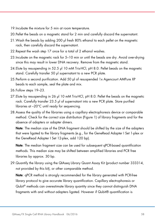- 19.Incubate the mixture for 5 min at room temperature.
- 20.Pellet the beads on a magnetic stand for 2 min and carefully discard the supernatant.
- 21.Wash the beads by adding 200 μl fresh 80% ethanol to each pellet on the magnetic rack, then carefully discard the supernatant.
- 22.Repeat the wash step 17 once for a total of 2 ethanol washes.
- 23.Incubate on the magnetic rack for 5–10 min or until the beads are dry. Avoid over-drying since this may result in lower DNA recovery. Remove from the magnetic stand.
- 24.Elute by resuspending in 52.5 μl 10 mM Tris-HCl, pH 8.0. Pellet beads on the magnetic stand. Carefully transfer 50 μl supernatant to a new PCR plate.
- 25.Perform a second purification. Add 50 μl of resuspended 1x Agencourt AMPure XP beads to each sample, seal the plate and mix.
- 26.Follow steps 19–23.
- 27.Elute by resuspending in 26 μl 10 mM Tris-HCl, pH 8.0. Pellet the beads on the magnetic rack. Carefully transfer 23.5 μl of supernatant into a new PCR plate. Store purified libraries at –20°C until ready for sequencing.
- 28.Assess the quality of the libraries using a capillary electrophoresis device or comparable method. Check for the correct size distribution (Figure 1) of library fragments and for the absence of adapters or adapter dimers.

Note: The median size of the DNA fragment should be shifted by the size of the adapters that were ligated to the library fragments (e.g., for the GeneRead Adapter I Set 1-plex or the GeneRead Adapter I Set 12-plex, add 120 bp).

Note: The median fragment size can be used for subsequent qPCR-based quantification methods. This median size may be shifted between amplified libraries and PCR free libraries by approx. 30 bp.

29.Quantify the library using the QIAseq Library Quant Assay Kit (product number 333314, not provided by this kit), or other comparable method.

Note: qPCR method is strongly recommended for the library generated with PCR-free library protocol to give accurate library quantification. Capillary electrophoresis or Qubit® methods can overestimate library quantity since they cannot distinguish DNA fragments with and without adapters ligated. However if Qubit® quantification is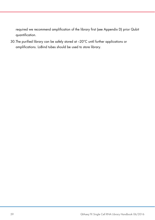required we recommend amplification of the library first (see Appendix D) prior Qubit quantification.

30.The purified library can be safely stored at –20°C until further applications or amplifications. LoBind tubes should be used to store library.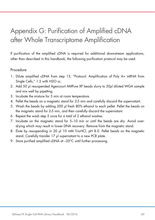## Appendix G: Purification of Amplified cDNA after Whole Transcriptome Amplification

If purification of the amplified cDNA is required for additional downstream applications, other than described in this handbook, the following purification protocol may be used.

#### Procedure

- 1. Dilute amplified cDNA from step 13, "Protocol: Amplification of Poly A+ mRNA from Single Cells," 1:2 with H2O sc.
- 2. Add 50 μl resuspended Agencourt AMPure XP beads slurry to 50μl diluted WGA sample and mix well by pipetting.
- 3. Incubate the mixture for 5 min at room temperature.
- 4. Pellet the beads on a magnetic stand for 2-5 min and carefully discard the supernatant.
- 5. Wash the beads by adding 200 μl fresh 80% ethanol to each pellet. Pellet the beads on the magnetic stand for 2-5 min, and then carefully discard the supernatant.
- 6. Repeat the wash step 5 once for a total of 2 ethanol washes.
- 7. Incubate on the magnetic stand for 5–10 min or until the beads are dry. Avoid overdrying which may result in lower DNA recovery. Remove from the magnetic stand.
- 8. Elute by resuspending in 20 μl 10 mM Tris-HCl, pH 8.0. Pellet beads on the magnetic stand. Carefully transfer 17 μl supernatant to a new PCR plate.
- 9. Store purified amplified cDNA at  $-20^{\circ}$ C until further processing.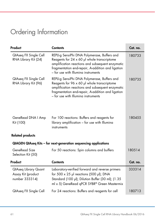## Ordering Information

| Product                                                             | <b>Contents</b>                                                                                                                                                                                                                                    | Cat. no. |
|---------------------------------------------------------------------|----------------------------------------------------------------------------------------------------------------------------------------------------------------------------------------------------------------------------------------------------|----------|
| <b>QIAseq FX Single Cell</b><br>RNA Library Kit (24)                | REPLI-g SensiPhi DNA Polymerase, Buffers and<br>Reagents for $24 \times 60$ µl whole transcriptome<br>amplification reactions and subsequent enzymatic<br>fragmentation end-repair, A-addition and ligation<br>- for use with Illumina instruments | 180733   |
| QIAseq FX Single Cell<br>RNA Library Kit (96)                       | REPLI-g SensiPhi DNA Polymerase, Buffers and<br>Reagents for 96 x 60 µl whole transcriptome<br>amplification reactions and subsequent enzymatic<br>fragmentation end-repair, A-addition and ligation<br>- for use with Illumina instruments        | 180735   |
| GeneRead DNA I Amp<br>Kit (100)                                     | For 100 reactions: Buffers and reagents for<br>library amplification - for use with Illumina<br>instruments                                                                                                                                        | 180455   |
| <b>Related products</b>                                             |                                                                                                                                                                                                                                                    |          |
| QIAGEN QIAseq Kits - for next-generation sequencing applications    |                                                                                                                                                                                                                                                    |          |
| GeneRead Size<br>Selection Kit (50)                                 | For 50 reactions: Spin columns and buffers                                                                                                                                                                                                         | 180514   |
| Product                                                             | <b>Contents</b>                                                                                                                                                                                                                                    | Cat. no. |
| <b>QlAseq Library Quant</b><br>Assay Kit (product<br>number 333314) | Laboratory-verified forward and reverse primers<br>for 500 $\times$ 25 µl reactions (500 µl); DNA<br>Standard (100 µl); Dilution Buffer (30 ml); (1.35<br>ml x 5) GeneRead qPCR SYBR® Green Mastermix                                              | 333314   |
| <b>QIAseq FX Single Cell</b>                                        | For 24 reactions: Buffers and reagents for cell                                                                                                                                                                                                    | 180713   |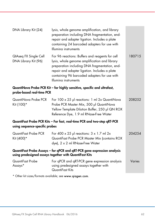| DNA Library Kit (24)                                                                                                              | lysis, whole genome amplification, and library<br>preparation including DNA fragmentation, end-<br>repair and adapter ligation. Includes a plate<br>containing 24 barcoded adapters for use with<br>Illumina instruments                                                   |        |
|-----------------------------------------------------------------------------------------------------------------------------------|----------------------------------------------------------------------------------------------------------------------------------------------------------------------------------------------------------------------------------------------------------------------------|--------|
| QIAseq FX Single Cell<br>DNA Library Kit (96)                                                                                     | For 96 reactions: Buffers and reagents for cell<br>lysis, whole genome amplification and library<br>preparation including DNA fragmentation, end-<br>repair and adapter ligation. Includes a plate<br>containing 96 barcoded adapters for use with<br>Illumina instruments | 180715 |
| QuantiNova Probe PCR Kit - for highly sensitive, specific and ultrafast,<br>probe-based real-time PCR                             |                                                                                                                                                                                                                                                                            |        |
| QuantiNova Probe PCR<br>Kit (100)*                                                                                                | For 100 x 25 µl reactions: 1 ml 2x QuantiNova<br>Probe PCR Master Mix, 500 µl QuantiNova<br>Yellow Template Dilution Buffer, 250 µl QN ROX<br>Reference Dye, 1.9 ml RNase-Free Water                                                                                       | 208252 |
| QuantiFast Probe PCR Kits - For fast, real-time PCR and two-step qRT-PCR<br>using sequence-specific probes                        |                                                                                                                                                                                                                                                                            |        |
| QuantiFast Probe PCR<br>Kit (400)*                                                                                                | For 400 x 25 µl reactions: $3 \times 1.7$ ml 2x<br>QuantiFast Probe PCR Master Mix (contains ROX<br>dye), 2 x 2 ml RNase-Free Water                                                                                                                                        | 204254 |
| QuantiFast Probe Assays - for qPCR and qRT-PCR gene expression analysis<br>using predesigned assays together with QuantiFast Kits |                                                                                                                                                                                                                                                                            |        |
| QuantiFast Probe<br>Assays*                                                                                                       | For qPCR and qRT-PCR gene expression analysis<br>using predesigned assays together with<br>QuantiFast Kits                                                                                                                                                                 | Varies |

\* Other kit sizes/formats available; see www.qiagen.com.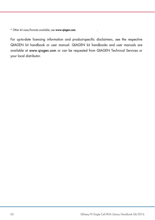\* Other kit sizes/formats available; see www.qiagen.com.

For up-to-date licensing information and product-specific disclaimers, see the respective QIAGEN kit handbook or user manual. QIAGEN kit handbooks and user manuals are available at www.qiagen.com or can be requested from QIAGEN Technical Services or your local distributor.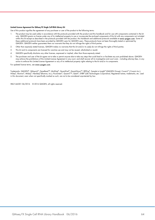#### Limited License Agreement for QIAseq FX Single Cell RNA Library Kit

Use of this product signifies the agreement of any purchaser or user of the product to the following terms:

- 1. The product may be used solely in accordance with the protocols provided with the product and this handbook and for use with components contained in the kit only. QIAGEN grants no license under any of its intellectual property to use or incorporate the enclosed components of this kit with any components not included within this kit except as described in the protocols provided with the product, this handbook and additional protocols available at www.qiagen.com. Some of these additional protocols have been provided by QIAGEN users for QIAGEN users. These protocols have not been thoroughly tested or optimized by QIAGEN. QIAGEN neither guarantees them nor warrants that they do not infringe the rights of third parties.
- 2. Other than expressly stated licenses, QIAGEN makes no warranty that this kit and/or its use(s) do not infringe the rights of third parties.
- 3. This kit and its components are licensed for one-time use and may not be reused, refurbished or resold.
- 4. QIAGEN specifically disclaims any other licenses, expressed or implied, other than those expressly stated.
- 5. The purchaser and user of the kit agree not to take or permit anyone else to take any steps that could lead to or facilitate any acts prohibited above. QIAGEN may enforce the prohibitions of this Limited License Agreement in any court, and shall recover all its investigative and court costs – including attorney fees, in any action to enforce this Limited License Agreement or any of its intellectual property rights relating to the kit and/or its components.

#### For updated license terms, see www.qiagen.com.

Trademarks: QIAGEN®, QIAquick®, GeneRead™, MinElute®, QuantiFast®, QuantiNova™, REPLI-g®, Sample to Insight® (QIAGEN Group); Covaris® ( Covaris Inc.),<br>HiSeq®, Illumina®, MiSeq®, NextSeq® (Illumina, Inc.); PicoGreen®, Quan in this document, even when not specifically marked as such, are not to be considered unprotected by law.

HB-2144-001 06/2016 © 2016 QIAGEN, all rights reserved.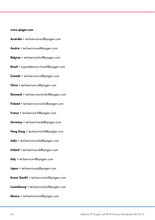#### www.qiagen.com

- Australia  $*$  techservice-au@qiagen.com
- Austria · techservice-at@qiagen.com
- Belgium · techservice-bnl@qiagen.com
- **Brazil** suportetecnico.brasil@qiagen.com
- Canada · techservice-ca@qiagen.com
- $China$  = techservice-cn@aiagen.com
- **Denmark** techservice-nordic@qiagen.com
- Finland  $\blacksquare$  techservice-nordic@qiagen.com
- France · techservice-fr@qiagen.com
- Germany · techservice-de@qiagen.com
- Hong Kong  $\equiv$  techservice-hk@qiagen.com
- India · techservice-india@qiagen.com
- Ireland = techservice-uk@qiagen.com
- Italy **e** techservice-it@qiagen.com
- Japan  $*$  techservice-jp@qiagen.com
- Korea (South) = techservice-kr@qiagen.com
- Luxembourg · techservice-bnl@qiagen.com
- $Mexico$  = techservice-mx@qiagen.com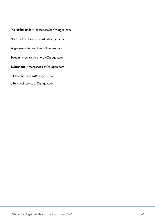- The Netherlands  $*$  techservice-bnl@qiagen.com
- Norway **etechservice-nordic@qiagen.com**
- $Singapore * techserve, g@qiagen.com$
- Sweden · techservice-nordic@qiagen.com
- Switzerland  $=$  techservice-ch@qiagen.com
- UK  $=$  techservice-uk@qiagen.com
- $USA$  = techservice-us@qiagen.com